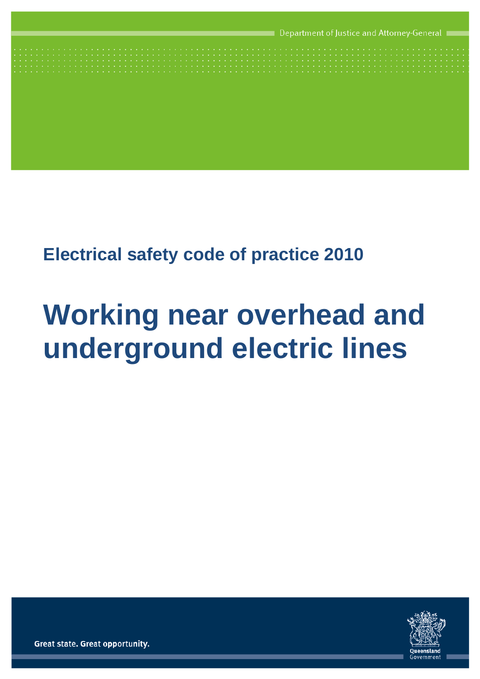# **Electrical safety code of practice 2010**

# **Working near overhead and underground electric lines**



Great state. Great opportunity.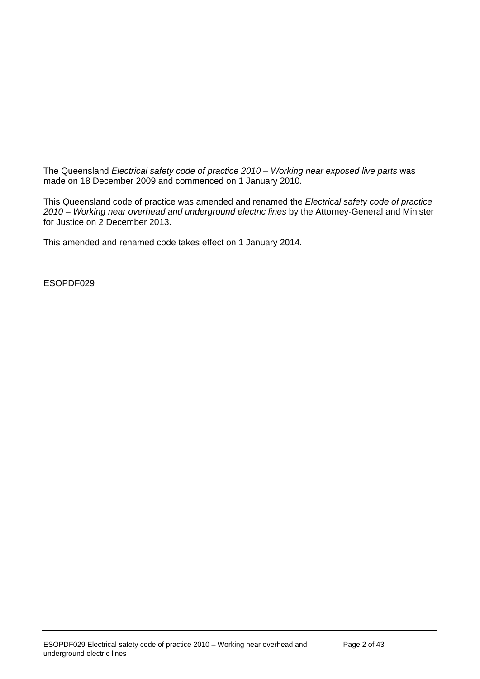The Queensland *Electrical safety code of practice 2010 – Working near exposed live parts* was made on 18 December 2009 and commenced on 1 January 2010.

This Queensland code of practice was amended and renamed the *Electrical safety code of practice 2010 – Working near overhead and underground electric lines* by the Attorney-General and Minister for Justice on 2 December 2013.

This amended and renamed code takes effect on 1 January 2014.

ESOPDF029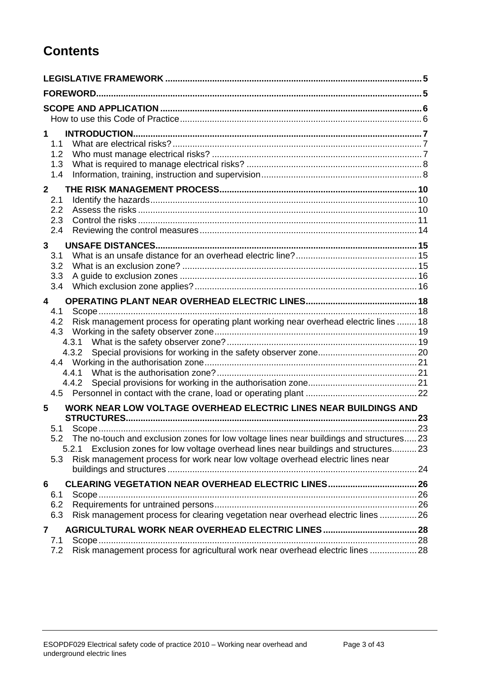# **Contents**

| $\mathbf 1$<br>1.1<br>1.2<br>1.3<br>1.4                                                                                                                                                                                                                                                                                                                         |  |
|-----------------------------------------------------------------------------------------------------------------------------------------------------------------------------------------------------------------------------------------------------------------------------------------------------------------------------------------------------------------|--|
| $\mathbf{2}$<br>2.1<br>2.2<br>2.3<br>2.4                                                                                                                                                                                                                                                                                                                        |  |
| 3<br>3.1<br>3.2<br>3.3<br>3.4                                                                                                                                                                                                                                                                                                                                   |  |
| 4<br>4.1<br>Risk management process for operating plant working near overhead electric lines  18<br>4.2<br>4.3<br>4.4.1<br>4.4.2                                                                                                                                                                                                                                |  |
| WORK NEAR LOW VOLTAGE OVERHEAD ELECTRIC LINES NEAR BUILDINGS AND<br>5<br>5.1<br>5.2 The no-touch and exclusion zones for low voltage lines near buildings and structures 23<br>Exclusion zones for low voltage overhead lines near buildings and structures23<br>5.2.1<br>Risk management process for work near low voltage overhead electric lines near<br>5.3 |  |
| 6<br>6.1<br>6.2<br>Risk management process for clearing vegetation near overhead electric lines  26<br>6.3                                                                                                                                                                                                                                                      |  |
| 7<br>7.1<br>Risk management process for agricultural work near overhead electric lines  28<br>7.2                                                                                                                                                                                                                                                               |  |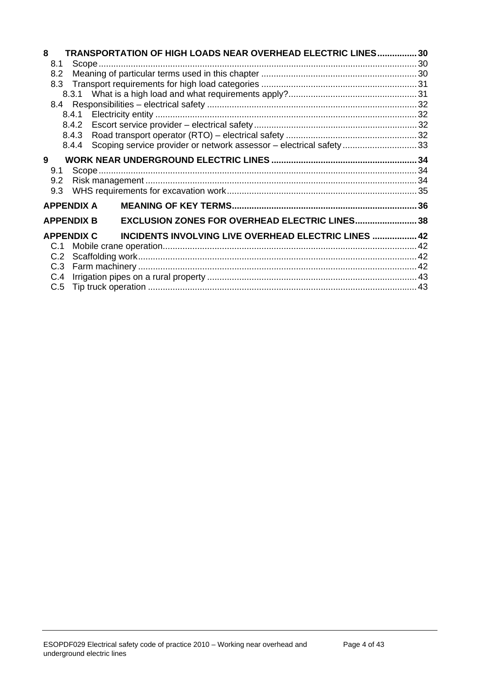| 8             |                   | TRANSPORTATION OF HIGH LOADS NEAR OVERHEAD ELECTRIC LINES 30       |  |
|---------------|-------------------|--------------------------------------------------------------------|--|
| 8.1           |                   |                                                                    |  |
| 8.2           |                   |                                                                    |  |
|               |                   |                                                                    |  |
|               |                   |                                                                    |  |
|               |                   |                                                                    |  |
|               |                   |                                                                    |  |
|               |                   |                                                                    |  |
|               |                   |                                                                    |  |
|               | 8.4.4             | Scoping service provider or network assessor - electrical safety33 |  |
| 9             |                   |                                                                    |  |
| 9.1           |                   |                                                                    |  |
| $9.2^{\circ}$ |                   |                                                                    |  |
| 9.3           |                   |                                                                    |  |
|               | <b>APPENDIX A</b> |                                                                    |  |
|               | <b>APPENDIX B</b> | <b>EXCLUSION ZONES FOR OVERHEAD ELECTRIC LINES 38</b>              |  |
|               |                   | APPENDIX C INCIDENTS INVOLVING LIVE OVERHEAD ELECTRIC LINES  42    |  |
| C.1           |                   |                                                                    |  |
| C.2           |                   |                                                                    |  |
|               |                   |                                                                    |  |
| C.4           |                   |                                                                    |  |
|               |                   |                                                                    |  |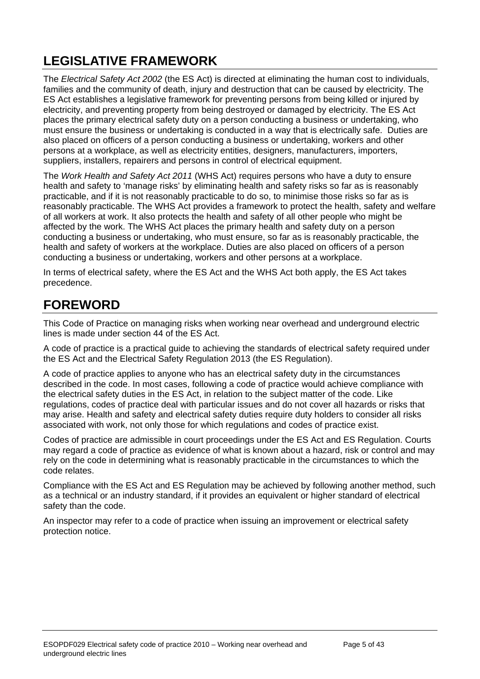# <span id="page-4-0"></span>**LEGISLATIVE FRAMEWORK**

The *[Electrical Safety Act 2002](http://www.legislation.qld.gov.au/LEGISLTN/CURRENT/E/ElectricalSA02.pdf)* (the ES Act) is directed at eliminating the human cost to individuals, families and the community of death, injury and destruction that can be caused by electricity. The ES Act establishes a legislative framework for preventing persons from being killed or injured by electricity, and preventing property from being destroyed or damaged by electricity. The ES Act places the primary electrical safety duty on a person conducting a business or undertaking, who must ensure the business or undertaking is conducted in a way that is electrically safe. Duties are also placed on officers of a person conducting a business or undertaking, workers and other persons at a workplace, as well as electricity entities, designers, manufacturers, importers, suppliers, installers, repairers and persons in control of [electrical equipment](http://www.deir.qld.gov.au/electricalsafety/law/codes/rural/dictionary/index.htm#equipment).

The *Work Health and Safety Act 2011* (WHS Act) requires persons who have a duty to ensure health and safety to 'manage risks' by eliminating health and safety risks so far as is reasonably practicable, and if it is not reasonably practicable to do so, to minimise those risks so far as is reasonably practicable. The WHS Act provides a framework to protect the health, safety and welfare of all workers at work. It also protects the health and safety of all other people who might be affected by the work. The WHS Act places the primary health and safety duty on a person conducting a business or undertaking, who must ensure, so far as is reasonably practicable, the health and safety of workers at the workplace. Duties are also placed on officers of a person conducting a business or undertaking, workers and other persons at a workplace.

In terms of electrical safety, where the ES Act and the WHS Act both apply, the ES Act takes precedence.

# <span id="page-4-1"></span>**FOREWORD**

This Code of Practice on managing risks when working near overhead and underground electric lines is made under section 44 of the ES Act.

A code of practice is a practical guide to achieving the standards of electrical safety required under the ES Act and the Electrical Safety Regulation 2013 (the ES Regulation).

A code of practice applies to anyone who has an electrical safety duty in the circumstances described in the code. In most cases, following a code of practice would achieve compliance with the electrical safety duties in the ES Act, in relation to the subject matter of the code. Like regulations, codes of practice deal with particular issues and do not cover all hazards or risks that may arise. Health and safety and electrical safety duties require duty holders to consider all risks associated with work, not only those for which regulations and codes of practice exist.

Codes of practice are admissible in court proceedings under the ES Act and ES Regulation. Courts may regard a code of practice as evidence of what is known about a hazard, risk or control and may rely on the code in determining what is reasonably practicable in the circumstances to which the code relates.

Compliance with the ES Act and ES Regulation may be achieved by following another method, such as a technical or an industry standard, if it provides an equivalent or higher standard of electrical safety than the code.

An inspector may refer to a code of practice when issuing an improvement or electrical safety protection notice.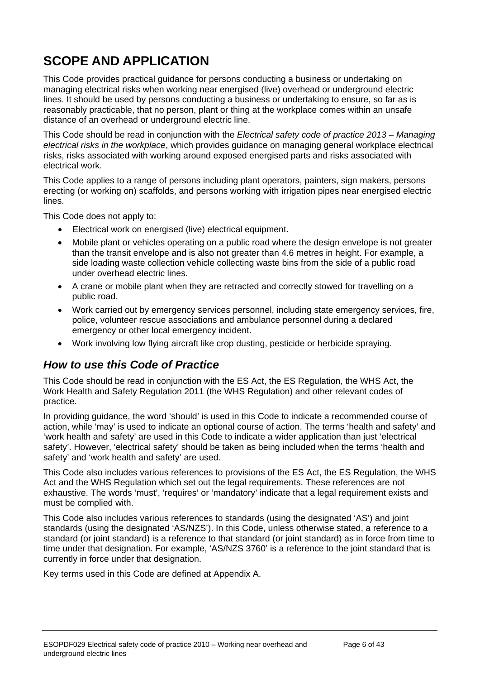# <span id="page-5-0"></span>**SCOPE AND APPLICATION**

This Code provides practical guidance for persons conducting a business or undertaking on managing electrical risks when working near energised (live) overhead or underground electric lines. It should be used by persons conducting a business or undertaking to ensure, so far as is reasonably practicable, that no person, plant or thing at the workplace comes within an unsafe distance of an overhead or underground electric line.

This Code should be read in conjunction with the *Electrical safety code of practice 2013 – Managing electrical risks in the workplace*, which provides guidance on managing general workplace electrical risks, risks associated with working around exposed energised parts and risks associated with electrical work.

This Code applies to a range of persons including plant operators, painters, sign makers, persons erecting (or working on) scaffolds, and persons working with irrigation pipes near energised electric lines.

This Code does not apply to:

- Electrical work on energised (live) electrical equipment.
- Mobile plant or vehicles operating on a public road where the design envelope is not greater than the transit envelope and is also not greater than 4.6 metres in height. For example, a side loading waste collection vehicle collecting waste bins from the side of a public road under overhead electric lines.
- A crane or mobile plant when they are retracted and correctly stowed for travelling on a public road.
- Work carried out by emergency services personnel, including state emergency services, fire, police, volunteer rescue associations and ambulance personnel during a declared emergency or other local emergency incident.
- Work involving low flying aircraft like crop dusting, pesticide or herbicide spraying.

### <span id="page-5-1"></span>*How to use this Code of Practice*

This Code should be read in conjunction with the ES Act, the ES Regulation, the WHS Act, the Work Health and Safety Regulation 2011 (the WHS Regulation) and other relevant codes of practice.

In providing guidance, the word 'should' is used in this Code to indicate a recommended course of action, while 'may' is used to indicate an optional course of action. The terms 'health and safety' and 'work health and safety' are used in this Code to indicate a wider application than just 'electrical safety'. However, 'electrical safety' should be taken as being included when the terms 'health and safety' and 'work health and safety' are used.

This Code also includes various references to provisions of the ES Act, the ES Regulation, the WHS Act and the WHS Regulation which set out the legal requirements. These references are not exhaustive. The words 'must', 'requires' or 'mandatory' indicate that a legal requirement exists and must be complied with.

This Code also includes various references to standards (using the designated 'AS') and joint standards (using the designated 'AS/NZS'). In this Code, unless otherwise stated, a reference to a standard (or joint standard) is a reference to that standard (or joint standard) as in force from time to time under that designation. For example, 'AS/NZS 3760' is a reference to the joint standard that is currently in force under that designation.

<span id="page-5-2"></span>Key terms used in this Code are defined at Appendix A.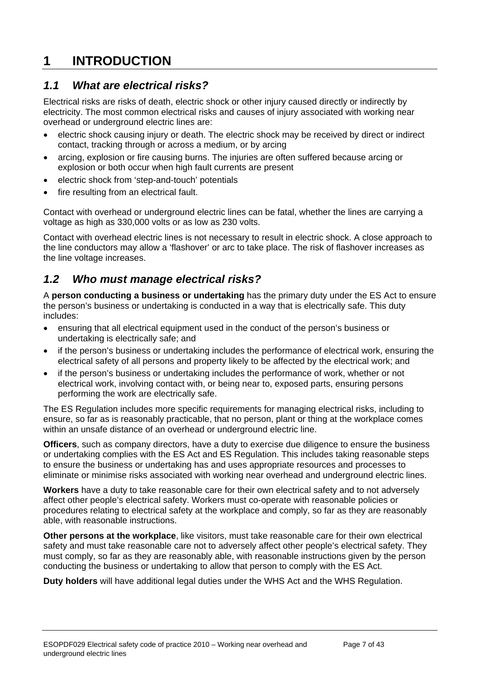# <span id="page-6-0"></span>**1 INTRODUCTION**

### <span id="page-6-1"></span>*1.1 What are electrical risks?*

Electrical risks are risks of death, electric shock or other injury caused directly or indirectly by electricity. The most common electrical risks and causes of injury associated with working near overhead or underground electric lines are:

- electric shock causing injury or death. The electric shock may be received by direct or indirect contact, tracking through or across a medium, or by arcing
- arcing, explosion or fire causing burns. The injuries are often suffered because arcing or explosion or both occur when high fault currents are present
- electric shock from 'step-and-touch' potentials
- fire resulting from an electrical fault.

Contact with overhead or underground electric lines can be fatal, whether the lines are carrying a voltage as high as 330,000 volts or as low as 230 volts.

Contact with overhead electric lines is not necessary to result in electric shock. A close approach to the line conductors may allow a 'flashover' or arc to take place. The risk of flashover increases as the line voltage increases.

# <span id="page-6-2"></span>*1.2 Who must manage electrical risks?*

A **person conducting a business or undertaking** has the primary duty under the ES Act to ensure the person's business or undertaking is conducted in a way that is electrically safe. This duty includes:

- ensuring that all electrical equipment used in the conduct of the person's business or undertaking is electrically safe; and
- if the person's business or undertaking includes the performance of electrical work, ensuring the electrical safety of all persons and property likely to be affected by the electrical work; and
- if the person's business or undertaking includes the performance of work, whether or not electrical work, involving contact with, or being near to, exposed parts, ensuring persons performing the work are electrically safe.

The ES Regulation includes more specific requirements for managing electrical risks, including to ensure, so far as is reasonably practicable, that no person, plant or thing at the workplace comes within an unsafe distance of an overhead or underground electric line.

**Officers**, such as company directors, have a duty to exercise due diligence to ensure the business or undertaking complies with the ES Act and ES Regulation. This includes taking reasonable steps to ensure the business or undertaking has and uses appropriate resources and processes to eliminate or minimise risks associated with working near overhead and underground electric lines.

**Workers** have a duty to take reasonable care for their own electrical safety and to not adversely affect other people's electrical safety. Workers must co-operate with reasonable policies or procedures relating to electrical safety at the workplace and comply, so far as they are reasonably able, with reasonable instructions.

**Other persons at the workplace**, like visitors, must take reasonable care for their own electrical safety and must take reasonable care not to adversely affect other people's electrical safety. They must comply, so far as they are reasonably able, with reasonable instructions given by the person conducting the business or undertaking to allow that person to comply with the ES Act.

**Duty holders** will have additional legal duties under the WHS Act and the WHS Regulation.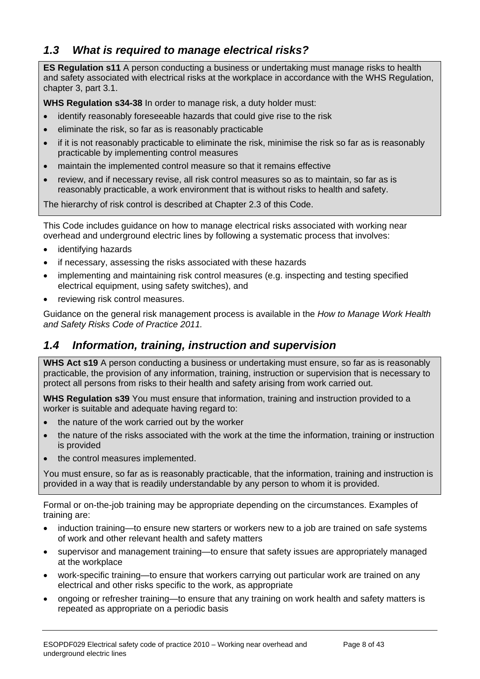# <span id="page-7-0"></span>*1.3 What is required to manage electrical risks?*

**ES Regulation s11** A person conducting a business or undertaking must manage risks to health and safety associated with electrical risks at the workplace in accordance with the WHS Regulation, chapter 3, part 3.1.

**WHS Regulation s34-38** In order to manage risk, a duty holder must:

- identify reasonably foreseeable hazards that could give rise to the risk
- eliminate the risk, so far as is reasonably practicable
- if it is not reasonably practicable to eliminate the risk, minimise the risk so far as is reasonably practicable by implementing control measures
- maintain the implemented control measure so that it remains effective
- review, and if necessary revise, all risk control measures so as to maintain, so far as is reasonably practicable, a work environment that is without risks to health and safety.

The hierarchy of risk control is described at Chapter 2.3 of this Code.

This Code includes guidance on how to manage electrical risks associated with working near overhead and underground electric lines by following a systematic process that involves:

- identifying hazards
- if necessary, assessing the risks associated with these hazards
- implementing and maintaining risk control measures (e.g. inspecting and testing specified electrical equipment, using safety switches), and
- reviewing risk control measures.

Guidance on the general risk management process is available in the *How to Manage Work Health and Safety Risks Code of Practice 2011.* 

# <span id="page-7-1"></span>*1.4 Information, training, instruction and supervision*

**WHS Act s19** A person conducting a business or undertaking must ensure, so far as is reasonably practicable, the provision of any information, training, instruction or supervision that is necessary to protect all persons from risks to their health and safety arising from work carried out.

**WHS Regulation s39** You must ensure that information, training and instruction provided to a worker is suitable and adequate having regard to:

- the nature of the work carried out by the worker
- the nature of the risks associated with the work at the time the information, training or instruction is provided
- the control measures implemented.

You must ensure, so far as is reasonably practicable, that the information, training and instruction is provided in a way that is readily understandable by any person to whom it is provided.

Formal or on-the-job training may be appropriate depending on the circumstances. Examples of training are:

- induction training—to ensure new starters or workers new to a job are trained on safe systems of work and other relevant health and safety matters
- supervisor and management training—to ensure that safety issues are appropriately managed at the workplace
- work-specific training—to ensure that workers carrying out particular work are trained on any electrical and other risks specific to the work, as appropriate
- ongoing or refresher training—to ensure that any training on work health and safety matters is repeated as appropriate on a periodic basis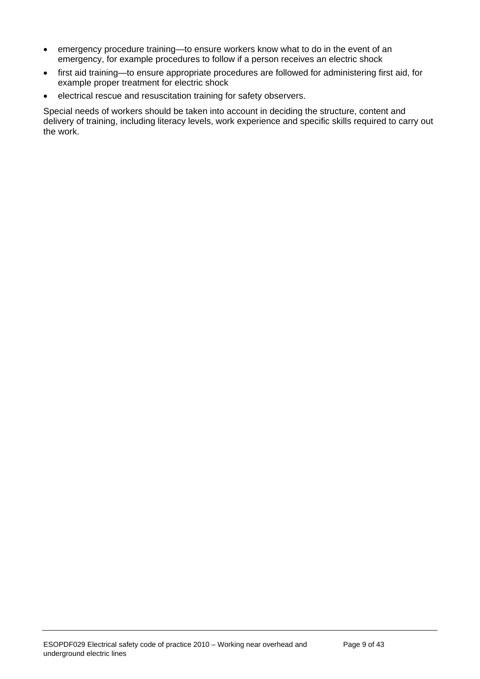- emergency procedure training—to ensure workers know what to do in the event of an emergency, for example procedures to follow if a person receives an electric shock
- first aid training—to ensure appropriate procedures are followed for administering first aid, for example proper treatment for electric shock
- electrical rescue and resuscitation training for safety observers.

Special needs of workers should be taken into account in deciding the structure, content and delivery of training, including literacy levels, work experience and specific skills required to carry out the work.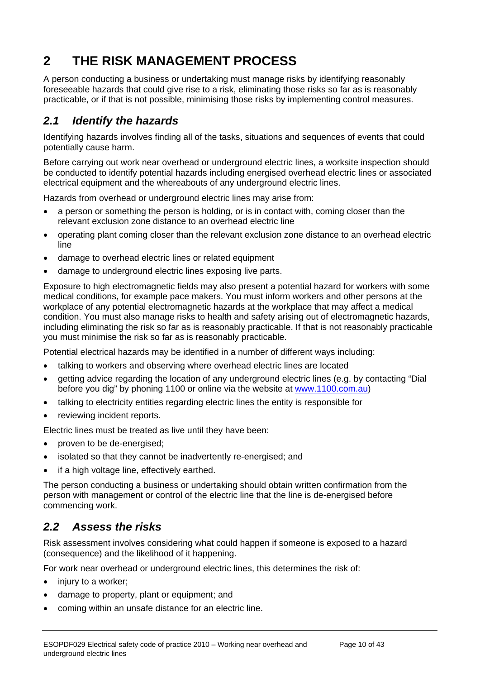# <span id="page-9-0"></span>**2 THE RISK MANAGEMENT PROCESS**

A person conducting a business or undertaking must manage risks by identifying reasonably foreseeable hazards that could give rise to a risk, eliminating those risks so far as is reasonably practicable, or if that is not possible, minimising those risks by implementing control measures.

# <span id="page-9-1"></span>*2.1 Identify the hazards*

Identifying hazards involves finding all of the tasks, situations and sequences of events that could potentially cause harm.

Before carrying out work near overhead or underground electric lines, a worksite inspection should be conducted to identify potential hazards including energised overhead electric lines or associated electrical equipment and the whereabouts of any underground electric lines.

Hazards from overhead or underground electric lines may arise from:

- a person or something the person is holding, or is in contact with, coming closer than the relevant exclusion zone distance to an overhead electric line
- operating plant coming closer than the relevant exclusion zone distance to an overhead electric line
- damage to overhead electric lines or related equipment
- damage to underground electric lines exposing live parts.

Exposure to high electromagnetic fields may also present a potential hazard for workers with some medical conditions, for example pace makers. You must inform workers and other persons at the workplace of any potential electromagnetic hazards at the workplace that may affect a medical condition. You must also manage risks to health and safety arising out of electromagnetic hazards, including eliminating the risk so far as is reasonably practicable. If that is not reasonably practicable you must minimise the risk so far as is reasonably practicable.

Potential electrical hazards may be identified in a number of different ways including:

- talking to workers and observing where overhead electric lines are located
- getting advice regarding the location of any underground electric lines (e.g. by contacting "Dial before you dig" by phoning 1100 or online via the website at [www.1100.com.au](http://www.1100.com.au/))
- talking to electricity entities regarding electric lines the entity is responsible for
- reviewing incident reports.

Electric lines must be treated as live until they have been:

- proven to be de-energised;
- isolated so that they cannot be inadvertently re-energised; and
- if a high voltage line, effectively earthed.

The person conducting a business or undertaking should obtain written confirmation from the person with management or control of the electric line that the line is de-energised before commencing work.

### <span id="page-9-2"></span>*2.2 Assess the risks*

Risk assessment involves considering what could happen if someone is exposed to a hazard (consequence) and the likelihood of it happening.

For work near overhead or underground electric lines, this determines the risk of:

- injury to a worker;
- damage to property, plant or equipment; and
- coming within an unsafe distance for an electric line.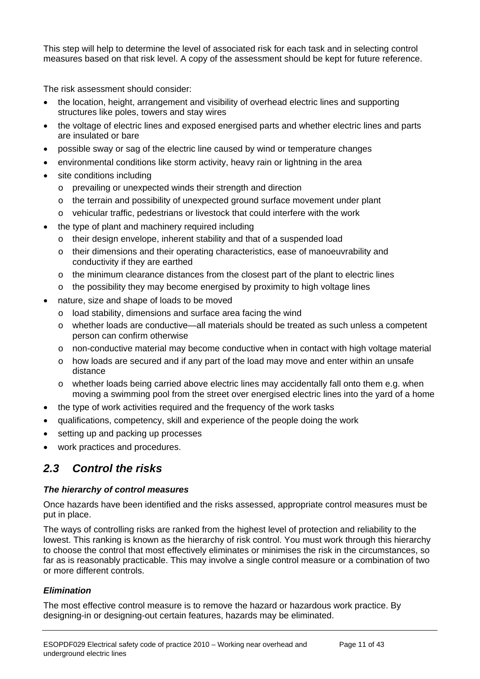This step will help to determine the level of associated risk for each task and in selecting control measures based on that risk level. A copy of the assessment should be kept for future reference.

The risk assessment should consider:

- the location, height, arrangement and visibility of overhead electric lines and supporting structures like poles, towers and stay wires
- the voltage of electric lines and exposed energised parts and whether electric lines and parts are insulated or bare
- possible sway or sag of the electric line caused by wind or temperature changes
- environmental conditions like storm activity, heavy rain or lightning in the area
- site conditions including
	- o prevailing or unexpected winds their strength and direction
	- o the terrain and possibility of unexpected ground surface movement under plant
	- o vehicular traffic, pedestrians or livestock that could interfere with the work
- the type of plant and machinery required including
	- o their design envelope, inherent stability and that of a suspended load
	- o their dimensions and their operating characteristics, ease of manoeuvrability and conductivity if they are earthed
	- o the minimum clearance distances from the closest part of the plant to electric lines
	- $\circ$  the possibility they may become energised by proximity to high voltage lines
- nature, size and shape of loads to be moved
	- o load stability, dimensions and surface area facing the wind
	- o whether loads are conductive—all materials should be treated as such unless a competent person can confirm otherwise
	- o non-conductive material may become conductive when in contact with high voltage material
	- o how loads are secured and if any part of the load may move and enter within an unsafe distance
	- o whether loads being carried above electric lines may accidentally fall onto them e.g. when moving a swimming pool from the street over energised electric lines into the yard of a home
- the type of work activities required and the frequency of the work tasks
- qualifications, competency, skill and experience of the people doing the work
- setting up and packing up processes
- work practices and procedures.

### <span id="page-10-0"></span>*2.3 Control the risks*

#### *The hierarchy of control measures*

Once hazards have been identified and the risks assessed, appropriate control measures must be put in place.

The ways of controlling risks are ranked from the highest level of protection and reliability to the lowest. This ranking is known as the hierarchy of risk control. You must work through this hierarchy to choose the control that most effectively eliminates or minimises the risk in the circumstances, so far as is reasonably practicable. This may involve a single control measure or a combination of two or more different controls.

#### *Elimination*

The most effective control measure is to remove the hazard or hazardous work practice. By designing-in or designing-out certain features, hazards may be eliminated.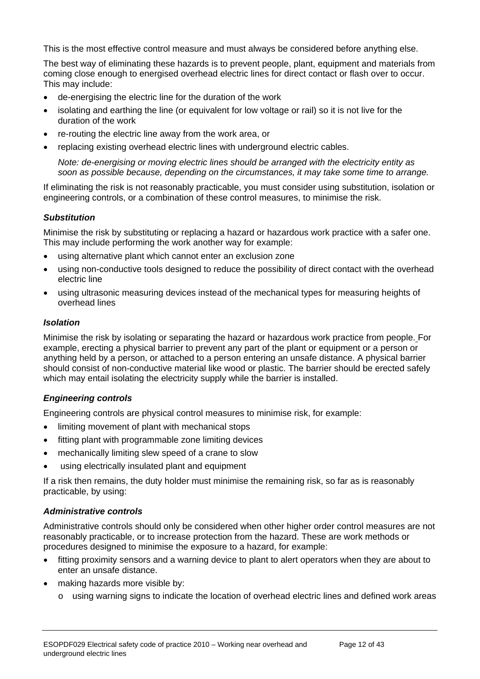This is the most effective control measure and must always be considered before anything else.

The best way of eliminating these hazards is to prevent people, plant, equipment and materials from coming close enough to energised overhead electric lines for direct contact or flash over to occur. This may include:

- de-energising the electric line for the duration of the work
- isolating and earthing the line (or equivalent for low voltage or rail) so it is not live for the duration of the work
- re-routing the electric line away from the work area, or
- replacing existing overhead electric lines with underground electric cables.

*Note: de-energising or moving electric lines should be arranged with the electricity entity as soon as possible because, depending on the circumstances, it may take some time to arrange.* 

If eliminating the risk is not reasonably practicable, you must consider using substitution, isolation or engineering controls, or a combination of these control measures, to minimise the risk.

#### *Substitution*

Minimise the risk by substituting or replacing a hazard or hazardous work practice with a safer one. This may include performing the work another way for example:

- using alternative plant which cannot enter an exclusion zone
- using non-conductive tools designed to reduce the possibility of direct contact with the overhead electric line
- using ultrasonic measuring devices instead of the mechanical types for measuring heights of overhead lines

#### *Isolation*

Minimise the risk by isolating or separating the hazard or hazardous work practice from people. For example, erecting a physical barrier to prevent any part of the plant or equipment or a person or anything held by a person, or attached to a person entering an unsafe distance. A physical barrier should consist of non-conductive material like wood or plastic. The barrier should be erected safely which may entail isolating the electricity supply while the barrier is installed.

#### *Engineering controls*

Engineering controls are physical control measures to minimise risk, for example:

- limiting movement of plant with mechanical stops
- fitting plant with programmable zone limiting devices
- mechanically limiting slew speed of a crane to slow
- using electrically insulated plant and equipment

If a risk then remains, the duty holder must minimise the remaining risk, so far as is reasonably practicable, by using:

#### *Administrative controls*

Administrative controls should only be considered when other higher order control measures are not reasonably practicable, or to increase protection from the hazard. These are work methods or procedures designed to minimise the exposure to a hazard, for example:

- fitting proximity sensors and a warning device to plant to alert operators when they are about to enter an unsafe distance.
- making hazards more visible by:
	- o using warning signs to indicate the location of overhead electric lines and defined work areas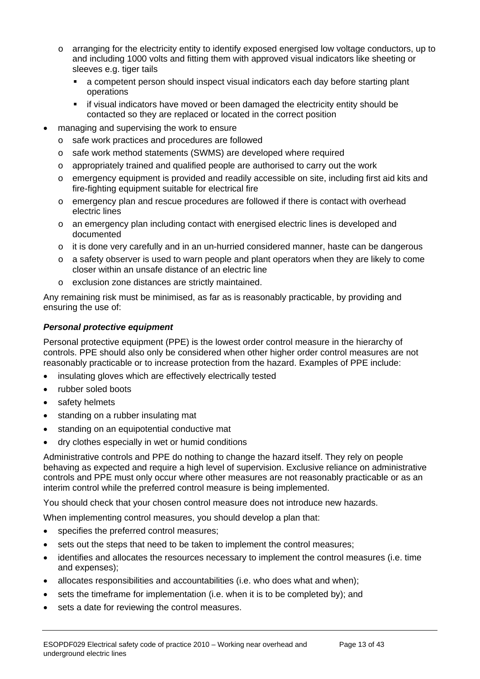- o arranging for the electricity entity to identify exposed energised low voltage conductors, up to and including 1000 volts and fitting them with approved visual indicators like sheeting or sleeves e.g. tiger tails
	- a competent person should inspect visual indicators each day before starting plant operations
	- if visual indicators have moved or been damaged the electricity entity should be contacted so they are replaced or located in the correct position
- managing and supervising the work to ensure
	- o safe work practices and procedures are followed
	- o safe work method statements (SWMS) are developed where required
	- o appropriately trained and qualified people are authorised to carry out the work
	- o emergency equipment is provided and readily accessible on site, including first aid kits and fire-fighting equipment suitable for electrical fire
	- o emergency plan and rescue procedures are followed if there is contact with overhead electric lines
	- o an emergency plan including contact with energised electric lines is developed and documented
	- $\circ$  it is done very carefully and in an un-hurried considered manner, haste can be dangerous
	- o a safety observer is used to warn people and plant operators when they are likely to come closer within an unsafe distance of an electric line
	- o exclusion zone distances are strictly maintained.

Any remaining risk must be minimised, as far as is reasonably practicable, by providing and ensuring the use of:

#### *Personal protective equipment*

Personal protective equipment (PPE) is the lowest order control measure in the hierarchy of controls. PPE should also only be considered when other higher order control measures are not reasonably practicable or to increase protection from the hazard. Examples of PPE include:

- insulating gloves which are effectively electrically tested
- rubber soled boots
- safety helmets
- standing on a rubber insulating mat
- standing on an equipotential conductive mat
- dry clothes especially in wet or humid conditions

Administrative controls and PPE do nothing to change the hazard itself. They rely on people behaving as expected and require a high level of supervision. Exclusive reliance on administrative controls and PPE must only occur where other measures are not reasonably practicable or as an interim control while the preferred control measure is being implemented.

You should check that your chosen control measure does not introduce new hazards.

When implementing control measures, you should develop a plan that:

- specifies the preferred control measures;
- sets out the steps that need to be taken to implement the control measures;
- identifies and allocates the resources necessary to implement the control measures (i.e. time and expenses);
- allocates responsibilities and accountabilities (i.e. who does what and when);
- sets the timeframe for implementation (i.e. when it is to be completed by); and
- sets a date for reviewing the control measures.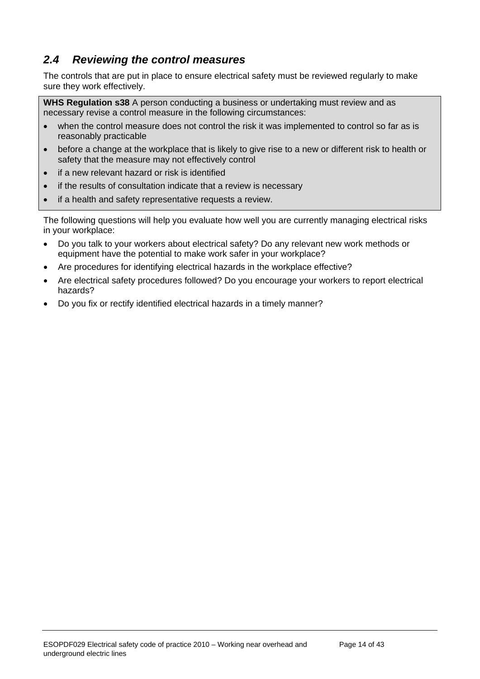# <span id="page-13-0"></span>*2.4 Reviewing the control measures*

The controls that are put in place to ensure electrical safety must be reviewed regularly to make sure they work effectively.

**WHS Regulation s38** A person conducting a business or undertaking must review and as necessary revise a control measure in the following circumstances:

- when the control measure does not control the risk it was implemented to control so far as is reasonably practicable
- before a change at the workplace that is likely to give rise to a new or different risk to health or safety that the measure may not effectively control
- if a new relevant hazard or risk is identified
- if the results of consultation indicate that a review is necessary
- if a health and safety representative requests a review.

The following questions will help you evaluate how well you are currently managing electrical risks in your workplace:

- Do you talk to your workers about electrical safety? Do any relevant new work methods or equipment have the potential to make work safer in your workplace?
- Are procedures for identifying electrical hazards in the workplace effective?
- Are electrical safety procedures followed? Do you encourage your workers to report electrical hazards?
- Do you fix or rectify identified electrical hazards in a timely manner?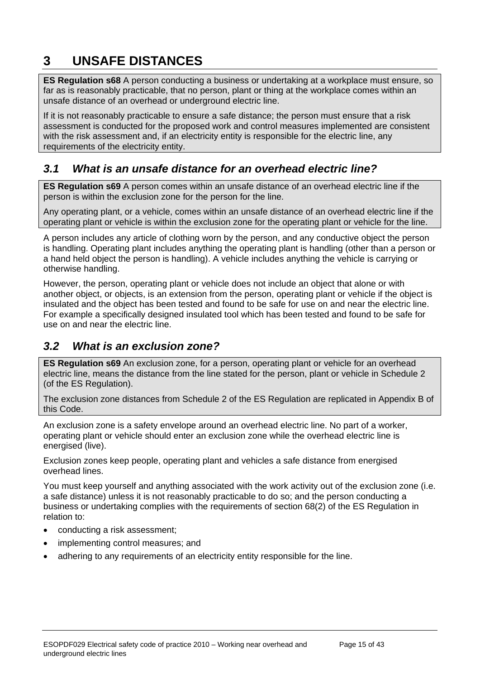# <span id="page-14-0"></span>**3 UNSAFE DISTANCES**

**ES Regulation s68** A person conducting a business or undertaking at a workplace must ensure, so far as is reasonably practicable, that no person, plant or thing at the workplace comes within an unsafe distance of an overhead or underground electric line.

If it is not reasonably practicable to ensure a safe distance; the person must ensure that a risk assessment is conducted for the proposed work and control measures implemented are consistent with the risk assessment and, if an electricity entity is responsible for the electric line, any requirements of the electricity entity.

### <span id="page-14-1"></span>*3.1 What is an unsafe distance for an overhead electric line?*

**ES Regulation s69** A person comes within an unsafe distance of an overhead electric line if the person is within the exclusion zone for the person for the line.

Any operating plant, or a vehicle, comes within an unsafe distance of an overhead electric line if the operating plant or vehicle is within the exclusion zone for the operating plant or vehicle for the line.

A person includes any article of clothing worn by the person, and any conductive object the person is handling. Operating plant includes anything the operating plant is handling (other than a person or a hand held object the person is handling). A vehicle includes anything the vehicle is carrying or otherwise handling.

However, the person, operating plant or vehicle does not include an object that alone or with another object, or objects, is an extension from the person, operating plant or vehicle if the object is insulated and the object has been tested and found to be safe for use on and near the electric line. For example a specifically designed insulated tool which has been tested and found to be safe for use on and near the electric line.

### <span id="page-14-2"></span>*3.2 What is an exclusion zone?*

**ES Regulation s69** An exclusion zone, for a person, operating plant or vehicle for an overhead electric line, means the distance from the line stated for the person, plant or vehicle in Schedule 2 (of the ES Regulation).

The exclusion zone distances from Schedule 2 of the ES Regulation are replicated in Appendix B of this Code.

An exclusion zone is a safety envelope around an overhead electric line. No part of a worker, operating plant or vehicle should enter an exclusion zone while the overhead electric line is energised (live).

Exclusion zones keep people, operating plant and vehicles a safe distance from energised overhead lines.

You must keep yourself and anything associated with the work activity out of the exclusion zone (i.e. a safe distance) unless it is not reasonably practicable to do so; and the person conducting a business or undertaking complies with the requirements of section 68(2) of the ES Regulation in relation to:

- conducting a risk assessment;
- implementing control measures; and
- adhering to any requirements of an electricity entity responsible for the line.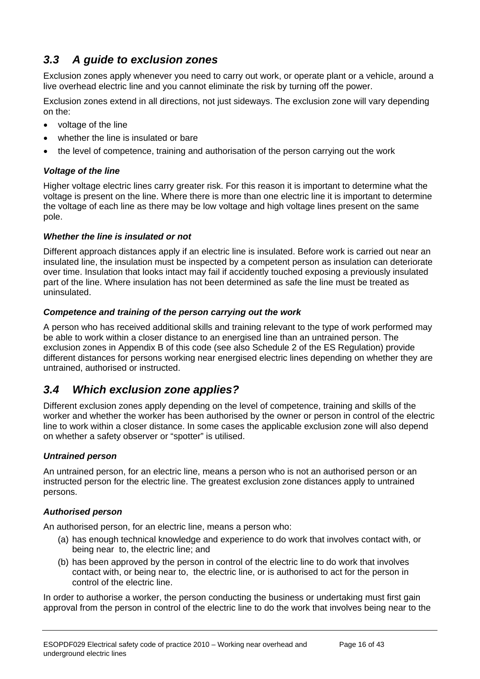# <span id="page-15-0"></span>*3.3 A guide to exclusion zones*

Exclusion zones apply whenever you need to carry out work, or operate plant or a vehicle, around a live overhead electric line and you cannot eliminate the risk by turning off the power.

Exclusion zones extend in all directions, not just sideways. The exclusion zone will vary depending on the:

- voltage of the line
- whether the line is insulated or bare
- the level of competence, training and authorisation of the person carrying out the work

#### *Voltage of the line*

Higher voltage electric lines carry greater risk. For this reason it is important to determine what the voltage is present on the line. Where there is more than one electric line it is important to determine the voltage of each line as there may be low voltage and high voltage lines present on the same pole.

#### *Whether the line is insulated or not*

Different approach distances apply if an electric line is insulated. Before work is carried out near an insulated line, the insulation must be inspected by a competent person as insulation can deteriorate over time. Insulation that looks intact may fail if accidently touched exposing a previously insulated part of the line. Where insulation has not been determined as safe the line must be treated as uninsulated.

#### *Competence and training of the person carrying out the work*

A person who has received additional skills and training relevant to the type of work performed may be able to work within a closer distance to an energised line than an untrained person. The exclusion zones in Appendix B of this code (see also Schedule 2 of the ES Regulation) provide different distances for persons working near energised electric lines depending on whether they are untrained, authorised or instructed.

# <span id="page-15-1"></span>*3.4 Which exclusion zone applies?*

Different exclusion zones apply depending on the level of competence, training and skills of the worker and whether the worker has been authorised by the owner or person in control of the electric line to work within a closer distance. In some cases the applicable exclusion zone will also depend on whether a safety observer or "spotter" is utilised.

#### *Untrained person*

An untrained person, for an electric line, means a person who is not an authorised person or an instructed person for the electric line. The greatest exclusion zone distances apply to untrained persons.

#### *Authorised person*

An authorised person, for an electric line, means a person who:

- (a) has enough technical knowledge and experience to do work that involves contact with, or being near to, the electric line; and
- (b) has been approved by the person in control of the electric line to do work that involves contact with, or being near to, the electric line, or is authorised to act for the person in control of the electric line.

In order to authorise a worker, the person conducting the business or undertaking must first gain approval from the person in control of the electric line to do the work that involves being near to the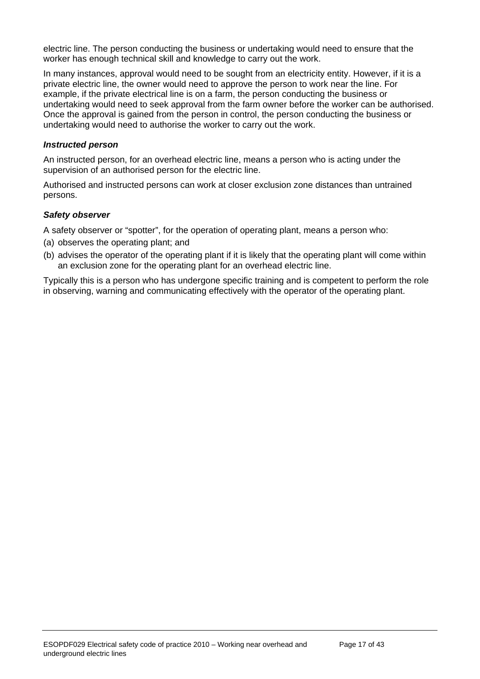electric line. The person conducting the business or undertaking would need to ensure that the worker has enough technical skill and knowledge to carry out the work.

In many instances, approval would need to be sought from an electricity entity. However, if it is a private electric line, the owner would need to approve the person to work near the line. For example, if the private electrical line is on a farm, the person conducting the business or undertaking would need to seek approval from the farm owner before the worker can be authorised. Once the approval is gained from the person in control, the person conducting the business or undertaking would need to authorise the worker to carry out the work.

#### *Instructed person*

An instructed person, for an overhead electric line, means a person who is acting under the supervision of an authorised person for the electric line.

Authorised and instructed persons can work at closer exclusion zone distances than untrained persons.

#### *Safety observer*

A safety observer or "spotter", for the operation of operating plant, means a person who:

- (a) observes the operating plant; and
- (b) advises the operator of the operating plant if it is likely that the operating plant will come within an exclusion zone for the operating plant for an overhead electric line.

Typically this is a person who has undergone specific training and is competent to perform the role in observing, warning and communicating effectively with the operator of the operating plant.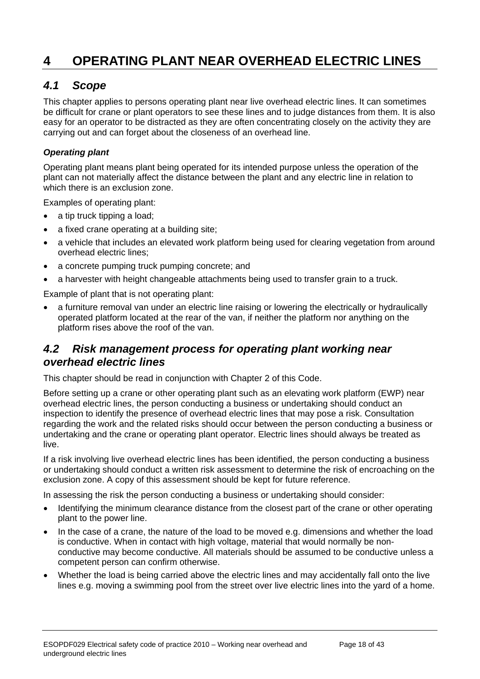# <span id="page-17-0"></span>**4 OPERATING PLANT NEAR OVERHEAD ELECTRIC LINES**

#### <span id="page-17-1"></span>*4.1 Scope*

This chapter applies to persons operating plant near live overhead electric lines. It can sometimes be difficult for crane or plant operators to see these lines and to judge distances from them. It is also easy for an operator to be distracted as they are often concentrating closely on the activity they are carrying out and can forget about the closeness of an overhead line.

#### *Operating plant*

Operating plant means plant being operated for its intended purpose unless the operation of the plant can not materially affect the distance between the plant and any electric line in relation to which there is an exclusion zone.

Examples of operating plant:

- a tip truck tipping a load;
- a fixed crane operating at a building site;
- a vehicle that includes an elevated work platform being used for clearing vegetation from around overhead electric lines;
- a concrete pumping truck pumping concrete; and
- a harvester with height changeable attachments being used to transfer grain to a truck.

Example of plant that is not operating plant:

 a furniture removal van under an electric line raising or lowering the electrically or hydraulically operated platform located at the rear of the van, if neither the platform nor anything on the platform rises above the roof of the van.

#### <span id="page-17-2"></span>*4.2 Risk management process for operating plant working near overhead electric lines*

This chapter should be read in conjunction with Chapter 2 of this Code.

Before setting up a crane or other operating plant such as an elevating work platform (EWP) near overhead electric lines, the person conducting a business or undertaking should conduct an inspection to identify the presence of overhead electric lines that may pose a risk. Consultation regarding the work and the related risks should occur between the person conducting a business or undertaking and the crane or operating plant operator. Electric lines should always be treated as live.

If a risk involving live overhead electric lines has been identified, the person conducting a business or undertaking should conduct a written risk assessment to determine the risk of encroaching on the exclusion zone. A copy of this assessment should be kept for future reference.

In assessing the risk the person conducting a business or undertaking should consider:

- Identifying the minimum clearance distance from the closest part of the crane or other operating plant to the power line.
- In the case of a crane, the nature of the load to be moved e.g. dimensions and whether the load is conductive. When in contact with high voltage, material that would normally be nonconductive may become conductive. All materials should be assumed to be conductive unless a competent person can confirm otherwise.
- Whether the load is being carried above the electric lines and may accidentally fall onto the live lines e.g. moving a swimming pool from the street over live electric lines into the yard of a home.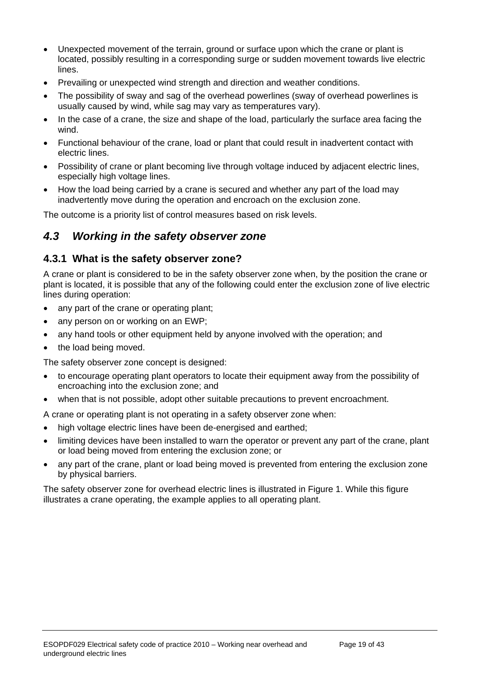- Unexpected movement of the terrain, ground or surface upon which the crane or plant is located, possibly resulting in a corresponding surge or sudden movement towards live electric lines.
- Prevailing or unexpected wind strength and direction and weather conditions.
- The possibility of sway and sag of the overhead powerlines (sway of overhead powerlines is usually caused by wind, while sag may vary as temperatures vary).
- In the case of a crane, the size and shape of the load, particularly the surface area facing the wind.
- Functional behaviour of the crane, load or plant that could result in inadvertent contact with electric lines.
- Possibility of crane or plant becoming live through voltage induced by adjacent electric lines, especially high voltage lines.
- How the load being carried by a crane is secured and whether any part of the load may inadvertently move during the operation and encroach on the exclusion zone.

The outcome is a priority list of control measures based on risk levels.

### <span id="page-18-0"></span>*4.3 Working in the safety observer zone*

#### <span id="page-18-1"></span>**4.3.1 What is the safety observer zone?**

A crane or plant is considered to be in the safety observer zone when, by the position the crane or plant is located, it is possible that any of the following could enter the exclusion zone of live electric lines during operation:

- any part of the crane or operating plant;
- any person on or working on an EWP;
- any hand tools or other equipment held by anyone involved with the operation; and
- the load being moved.

The safety observer zone concept is designed:

- to encourage operating plant operators to locate their equipment away from the possibility of encroaching into the exclusion zone; and
- when that is not possible, adopt other suitable precautions to prevent encroachment.

A crane or operating plant is not operating in a safety observer zone when:

- high voltage electric lines have been de-energised and earthed;
- limiting devices have been installed to warn the operator or prevent any part of the crane, plant or load being moved from entering the exclusion zone; or
- any part of the crane, plant or load being moved is prevented from entering the exclusion zone by physical barriers.

The safety observer zone for overhead electric lines is illustrated in Figure 1. While this figure illustrates a crane operating, the example applies to all operating plant.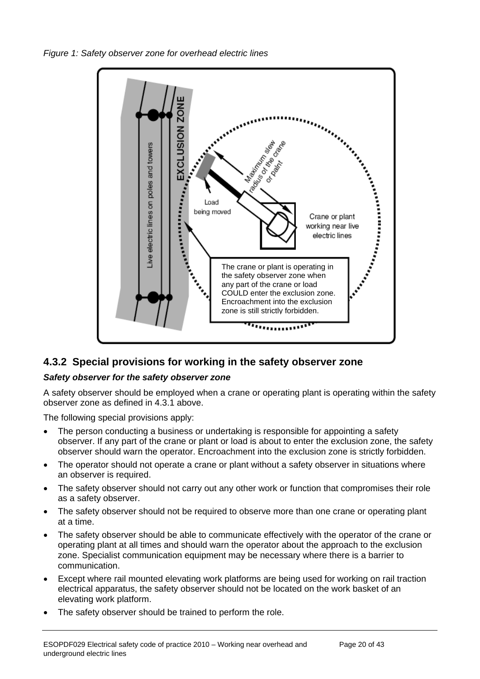*Figure 1: Safety observer zone for overhead electric lines* 



### <span id="page-19-0"></span>**4.3.2 Special provisions for working in the safety observer zone**

#### *Safety observer for the safety observer zone*

A safety observer should be employed when a crane or operating plant is operating within the safety observer zone as defined in 4.3.1 above.

The following special provisions apply:

- The person conducting a business or undertaking is responsible for appointing a safety observer. If any part of the crane or plant or load is about to enter the exclusion zone, the safety observer should warn the operator. Encroachment into the exclusion zone is strictly forbidden.
- The operator should not operate a crane or plant without a safety observer in situations where an observer is required.
- The safety observer should not carry out any other work or function that compromises their role as a safety observer.
- The safety observer should not be required to observe more than one crane or operating plant at a time.
- The safety observer should be able to communicate effectively with the operator of the crane or operating plant at all times and should warn the operator about the approach to the exclusion zone. Specialist communication equipment may be necessary where there is a barrier to communication.
- Except where rail mounted elevating work platforms are being used for working on rail traction electrical apparatus, the safety observer should not be located on the work basket of an elevating work platform.
- The safety observer should be trained to perform the role.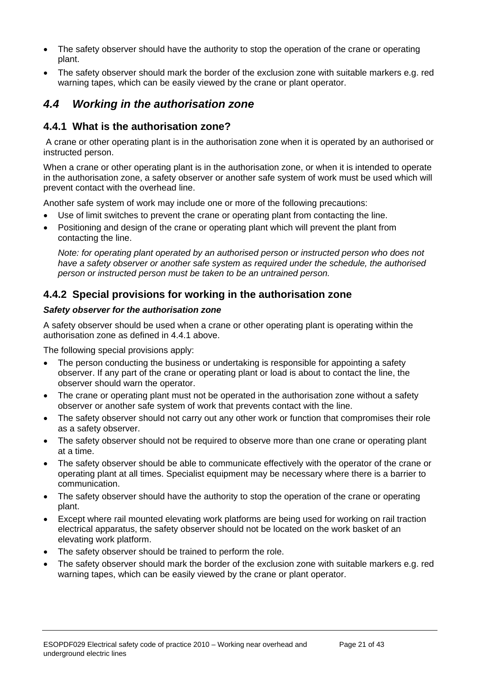- The safety observer should have the authority to stop the operation of the crane or operating plant.
- The safety observer should mark the border of the exclusion zone with suitable markers e.g. red warning tapes, which can be easily viewed by the crane or plant operator.

### <span id="page-20-0"></span>*4.4 Working in the authorisation zone*

#### <span id="page-20-1"></span>**4.4.1 What is the authorisation zone?**

 A crane or other operating plant is in the authorisation zone when it is operated by an authorised or instructed person.

When a crane or other operating plant is in the authorisation zone, or when it is intended to operate in the authorisation zone, a safety observer or another safe system of work must be used which will prevent contact with the overhead line.

Another safe system of work may include one or more of the following precautions:

- Use of limit switches to prevent the crane or operating plant from contacting the line.
- Positioning and design of the crane or operating plant which will prevent the plant from contacting the line.

*Note: for operating plant operated by an authorised person or instructed person who does not have a safety observer or another safe system as required under the schedule, the authorised person or instructed person must be taken to be an untrained person.* 

#### <span id="page-20-2"></span>**4.4.2 Special provisions for working in the authorisation zone**

#### *Safety observer for the authorisation zone*

A safety observer should be used when a crane or other operating plant is operating within the authorisation zone as defined in 4.4.1 above.

The following special provisions apply:

- The person conducting the business or undertaking is responsible for appointing a safety observer. If any part of the crane or operating plant or load is about to contact the line, the observer should warn the operator.
- The crane or operating plant must not be operated in the authorisation zone without a safety observer or another safe system of work that prevents contact with the line.
- The safety observer should not carry out any other work or function that compromises their role as a safety observer.
- The safety observer should not be required to observe more than one crane or operating plant at a time.
- The safety observer should be able to communicate effectively with the operator of the crane or operating plant at all times. Specialist equipment may be necessary where there is a barrier to communication.
- The safety observer should have the authority to stop the operation of the crane or operating plant.
- Except where rail mounted elevating work platforms are being used for working on rail traction electrical apparatus, the safety observer should not be located on the work basket of an elevating work platform.
- The safety observer should be trained to perform the role.
- The safety observer should mark the border of the exclusion zone with suitable markers e.g. red warning tapes, which can be easily viewed by the crane or plant operator.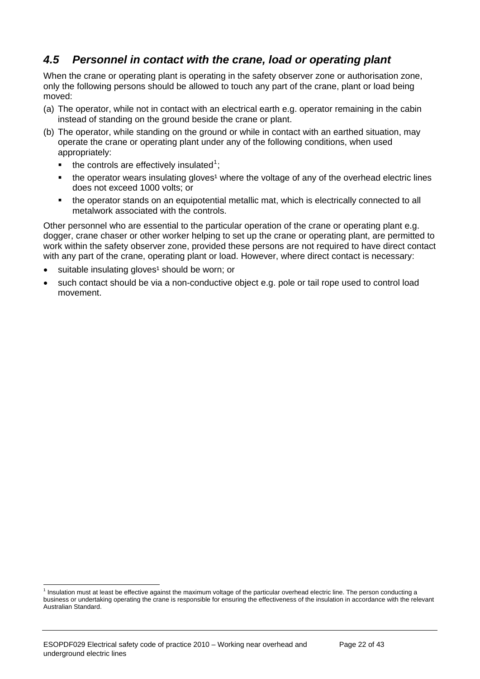# <span id="page-21-0"></span>*4.5 Personnel in contact with the crane, load or operating plant*

When the crane or operating plant is operating in the safety observer zone or authorisation zone, only the following persons should be allowed to touch any part of the crane, plant or load being moved:

- (a) The operator, while not in contact with an electrical earth e.g. operator remaining in the cabin instead of standing on the ground beside the crane or plant.
- (b) The operator, while standing on the ground or while in contact with an earthed situation, may operate the crane or operating plant under any of the following conditions, when used appropriately:
	- $\blacksquare$  the controls are effectively insulated<sup>[1](#page-5-2)</sup>;
	- $\blacksquare$  the operator wears insulating gloves<sup>1</sup> where the voltage of any of the overhead electric lines does not exceed 1000 volts; or
	- the operator stands on an equipotential metallic mat, which is electrically connected to all metalwork associated with the controls.

Other personnel who are essential to the particular operation of the crane or operating plant e.g. dogger, crane chaser or other worker helping to set up the crane or operating plant, are permitted to work within the safety observer zone, provided these persons are not required to have direct contact with any part of the crane, operating plant or load. However, where direct contact is necessary:

- suitable insulating gloves<sup>1</sup> should be worn; or
- such contact should be via a non-conductive object e.g. pole or tail rope used to control load movement.

<sup>&</sup>lt;sup>1</sup> Insulation must at least be effective against the maximum voltage of the particular overhead electric line. The person conducting a business or undertaking operating the crane is responsible for ensuring the effectiveness of the insulation in accordance with the relevant Australian Standard.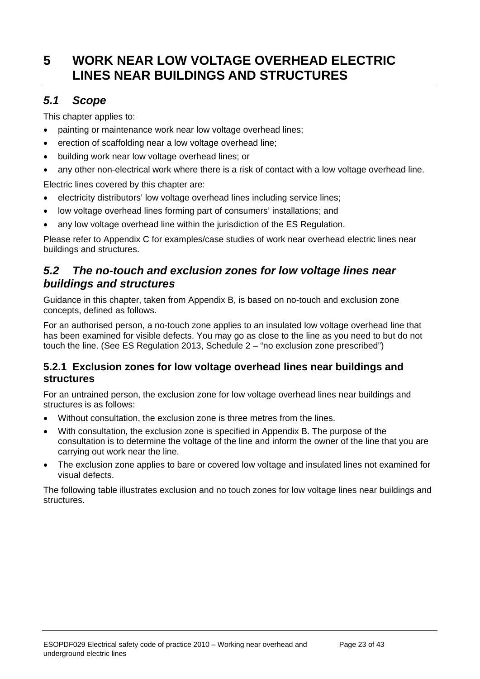# <span id="page-22-0"></span>**5 WORK NEAR LOW VOLTAGE OVERHEAD ELECTRIC LINES NEAR BUILDINGS AND STRUCTURES**

# <span id="page-22-1"></span>*5.1 Scope*

This chapter applies to:

- painting or maintenance work near low voltage overhead lines;
- erection of scaffolding near a low voltage overhead line;
- building work near low voltage overhead lines; or
- any other non-electrical work where there is a risk of contact with a low voltage overhead line.

Electric lines covered by this chapter are:

- electricity distributors' low voltage overhead lines including service lines;
- low voltage overhead lines forming part of consumers' installations; and
- any low voltage overhead line within the jurisdiction of the ES Regulation.

Please refer to Appendix C for examples/case studies of work near overhead electric lines near buildings and structures.

### <span id="page-22-2"></span>*5.2 The no-touch and exclusion zones for low voltage lines near buildings and structures*

Guidance in this chapter, taken from Appendix B, is based on no-touch and exclusion zone concepts, defined as follows.

For an authorised person, a no-touch zone applies to an insulated low voltage overhead line that has been examined for visible defects. You may go as close to the line as you need to but do not touch the line. (See ES Regulation 2013, Schedule 2 – "no exclusion zone prescribed")

#### <span id="page-22-3"></span>**5.2.1 Exclusion zones for low voltage overhead lines near buildings and structures**

For an untrained person, the exclusion zone for low voltage overhead lines near buildings and structures is as follows:

- Without consultation, the exclusion zone is three metres from the lines.
- With consultation, the exclusion zone is specified in Appendix B. The purpose of the consultation is to determine the voltage of the line and inform the owner of the line that you are carrying out work near the line.
- The exclusion zone applies to bare or covered low voltage and insulated lines not examined for visual defects.

The following table illustrates exclusion and no touch zones for low voltage lines near buildings and **structures**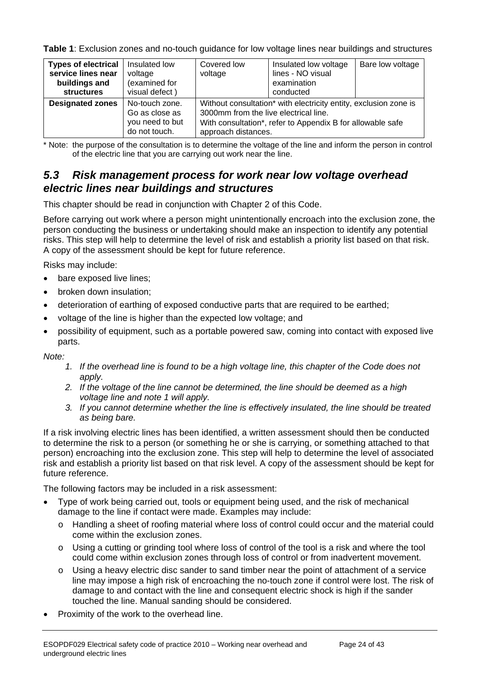**Table 1**: Exclusion zones and no-touch guidance for low voltage lines near buildings and structures

| <b>Types of electrical</b><br>service lines near<br>buildings and<br><b>structures</b> | Insulated low<br>voltage<br>(examined for<br>visual defect)          | Covered low<br>voltage                                                                                                                                                                         | Insulated low voltage<br>lines - NO visual<br>examination<br>conducted | Bare low voltage |
|----------------------------------------------------------------------------------------|----------------------------------------------------------------------|------------------------------------------------------------------------------------------------------------------------------------------------------------------------------------------------|------------------------------------------------------------------------|------------------|
| <b>Designated zones</b>                                                                | No-touch zone.<br>Go as close as<br>you need to but<br>do not touch. | Without consultation* with electricity entity, exclusion zone is<br>3000mm from the live electrical line.<br>With consultation*, refer to Appendix B for allowable safe<br>approach distances. |                                                                        |                  |

\* Note: the purpose of the consultation is to determine the voltage of the line and inform the person in control of the electric line that you are carrying out work near the line.

### <span id="page-23-0"></span>*5.3 Risk management process for work near low voltage overhead electric lines near buildings and structures*

This chapter should be read in conjunction with Chapter 2 of this Code.

Before carrying out work where a person might unintentionally encroach into the exclusion zone, the person conducting the business or undertaking should make an inspection to identify any potential risks. This step will help to determine the level of risk and establish a priority list based on that risk. A copy of the assessment should be kept for future reference.

Risks may include:

- bare exposed live lines:
- broken down insulation;
- deterioration of earthing of exposed conductive parts that are required to be earthed;
- voltage of the line is higher than the expected low voltage; and
- possibility of equipment, such as a portable powered saw, coming into contact with exposed live parts.

*Note:* 

- *1. If the overhead line is found to be a high voltage line, this chapter of the Code does not apply.*
- *2. If the voltage of the line cannot be determined, the line should be deemed as a high voltage line and note 1 will apply.*
- *3. If you cannot determine whether the line is effectively insulated, the line should be treated as being bare.*

If a risk involving electric lines has been identified, a written assessment should then be conducted to determine the risk to a person (or something he or she is carrying, or something attached to that person) encroaching into the exclusion zone. This step will help to determine the level of associated risk and establish a priority list based on that risk level. A copy of the assessment should be kept for future reference.

The following factors may be included in a risk assessment:

- Type of work being carried out, tools or equipment being used, and the risk of mechanical damage to the line if contact were made. Examples may include:
	- o Handling a sheet of roofing material where loss of control could occur and the material could come within the exclusion zones.
	- $\circ$  Using a cutting or grinding tool where loss of control of the tool is a risk and where the tool could come within exclusion zones through loss of control or from inadvertent movement.
	- $\circ$  Using a heavy electric disc sander to sand timber near the point of attachment of a service line may impose a high risk of encroaching the no-touch zone if control were lost. The risk of damage to and contact with the line and consequent electric shock is high if the sander touched the line. Manual sanding should be considered.
- Proximity of the work to the overhead line.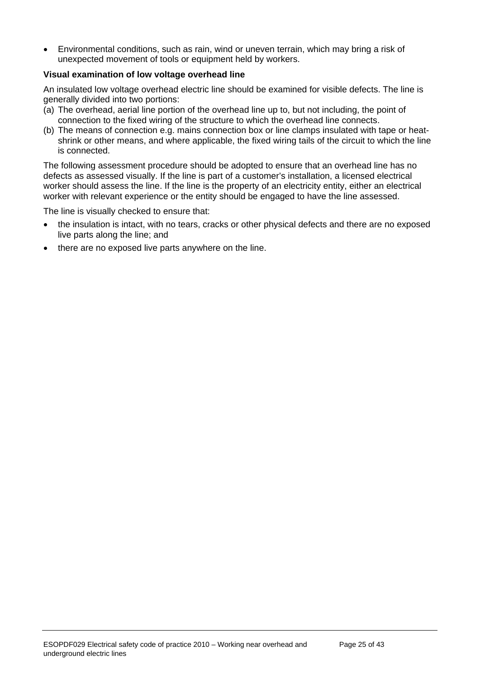Environmental conditions, such as rain, wind or uneven terrain, which may bring a risk of unexpected movement of tools or equipment held by workers.

#### **Visual examination of low voltage overhead line**

An insulated low voltage overhead electric line should be examined for visible defects. The line is generally divided into two portions:

- (a) The overhead, aerial line portion of the overhead line up to, but not including, the point of connection to the fixed wiring of the structure to which the overhead line connects.
- (b) The means of connection e.g. mains connection box or line clamps insulated with tape or heatshrink or other means, and where applicable, the fixed wiring tails of the circuit to which the line is connected.

The following assessment procedure should be adopted to ensure that an overhead line has no defects as assessed visually. If the line is part of a customer's installation, a licensed electrical worker should assess the line. If the line is the property of an electricity entity, either an electrical worker with relevant experience or the entity should be engaged to have the line assessed.

The line is visually checked to ensure that:

- the insulation is intact, with no tears, cracks or other physical defects and there are no exposed live parts along the line; and
- there are no exposed live parts anywhere on the line.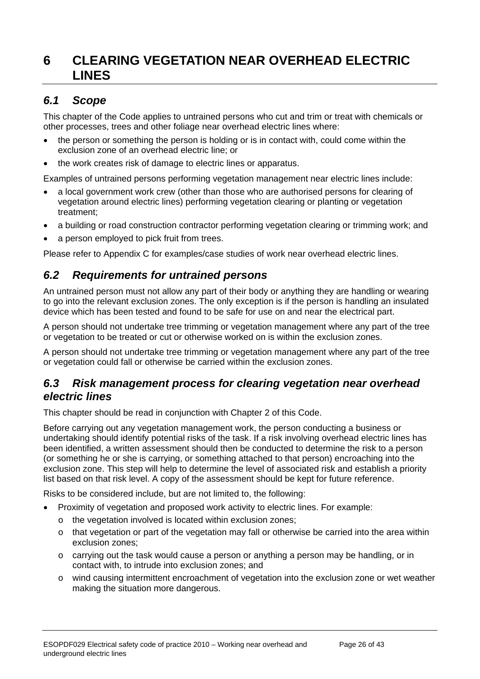# <span id="page-25-0"></span>**6 CLEARING VEGETATION NEAR OVERHEAD ELECTRIC LINES**

# <span id="page-25-1"></span>*6.1 Scope*

This chapter of the Code applies to untrained persons who cut and trim or treat with chemicals or other processes, trees and other foliage near overhead electric lines where:

- the person or something the person is holding or is in contact with, could come within the exclusion zone of an overhead electric line; or
- the work creates risk of damage to electric lines or apparatus.

Examples of untrained persons performing vegetation management near electric lines include:

- a local government work crew (other than those who are authorised persons for clearing of vegetation around electric lines) performing vegetation clearing or planting or vegetation treatment;
- a building or road construction contractor performing vegetation clearing or trimming work; and
- a person employed to pick fruit from trees.

Please refer to Appendix C for examples/case studies of work near overhead electric lines.

### <span id="page-25-2"></span>*6.2 Requirements for untrained persons*

An untrained person must not allow any part of their body or anything they are handling or wearing to go into the relevant exclusion zones. The only exception is if the person is handling an insulated device which has been tested and found to be safe for use on and near the electrical part.

A person should not undertake tree trimming or vegetation management where any part of the tree or vegetation to be treated or cut or otherwise worked on is within the exclusion zones.

A person should not undertake tree trimming or vegetation management where any part of the tree or vegetation could fall or otherwise be carried within the exclusion zones.

#### <span id="page-25-3"></span>*6.3 Risk management process for clearing vegetation near overhead electric lines*

This chapter should be read in conjunction with Chapter 2 of this Code.

Before carrying out any vegetation management work, the person conducting a business or undertaking should identify potential risks of the task. If a risk involving overhead electric lines has been identified, a written assessment should then be conducted to determine the risk to a person (or something he or she is carrying, or something attached to that person) encroaching into the exclusion zone. This step will help to determine the level of associated risk and establish a priority list based on that risk level. A copy of the assessment should be kept for future reference.

Risks to be considered include, but are not limited to, the following:

- Proximity of vegetation and proposed work activity to electric lines. For example:
	- o the vegetation involved is located within exclusion zones;
	- o that vegetation or part of the vegetation may fall or otherwise be carried into the area within exclusion zones;
	- o carrying out the task would cause a person or anything a person may be handling, or in contact with, to intrude into exclusion zones; and
	- o wind causing intermittent encroachment of vegetation into the exclusion zone or wet weather making the situation more dangerous.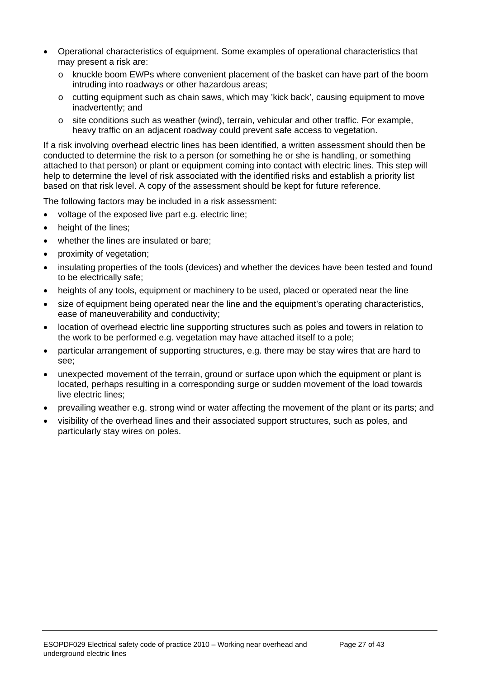- Operational characteristics of equipment. Some examples of operational characteristics that may present a risk are:
	- o knuckle boom EWPs where convenient placement of the basket can have part of the boom intruding into roadways or other hazardous areas;
	- o cutting equipment such as chain saws, which may 'kick back', causing equipment to move inadvertently; and
	- $\circ$  site conditions such as weather (wind), terrain, vehicular and other traffic. For example, heavy traffic on an adjacent roadway could prevent safe access to vegetation.

If a risk involving overhead electric lines has been identified, a written assessment should then be conducted to determine the risk to a person (or something he or she is handling, or something attached to that person) or plant or equipment coming into contact with electric lines. This step will help to determine the level of risk associated with the identified risks and establish a priority list based on that risk level. A copy of the assessment should be kept for future reference.

The following factors may be included in a risk assessment:

- voltage of the exposed live part e.g. electric line;
- height of the lines:
- whether the lines are insulated or bare;
- proximity of vegetation;
- insulating properties of the tools (devices) and whether the devices have been tested and found to be electrically safe;
- heights of any tools, equipment or machinery to be used, placed or operated near the line
- size of equipment being operated near the line and the equipment's operating characteristics, ease of maneuverability and conductivity;
- location of overhead electric line supporting structures such as poles and towers in relation to the work to be performed e.g. vegetation may have attached itself to a pole;
- particular arrangement of supporting structures, e.g. there may be stay wires that are hard to see;
- unexpected movement of the terrain, ground or surface upon which the equipment or plant is located, perhaps resulting in a corresponding surge or sudden movement of the load towards live electric lines;
- prevailing weather e.g. strong wind or water affecting the movement of the plant or its parts; and
- visibility of the overhead lines and their associated support structures, such as poles, and particularly stay wires on poles.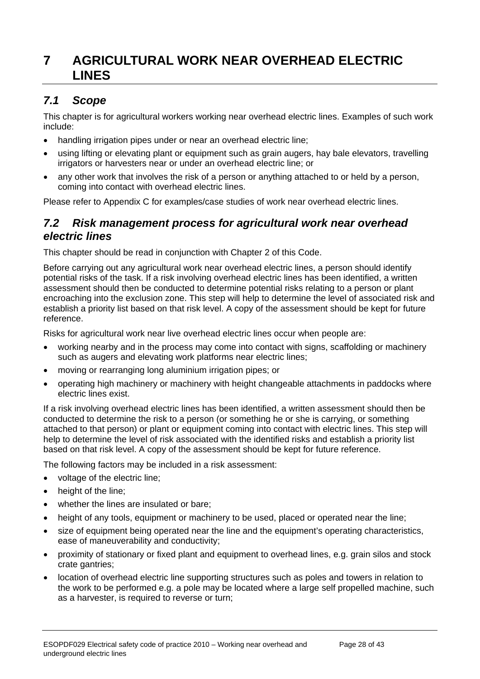# <span id="page-27-0"></span>**7 AGRICULTURAL WORK NEAR OVERHEAD ELECTRIC LINES**

# <span id="page-27-1"></span>*7.1 Scope*

This chapter is for agricultural workers working near overhead electric lines. Examples of such work include:

- handling irrigation pipes under or near an overhead electric line;
- using lifting or elevating plant or equipment such as grain augers, hay bale elevators, travelling irrigators or harvesters near or under an overhead electric line; or
- any other work that involves the risk of a person or anything attached to or held by a person, coming into contact with overhead electric lines.

Please refer to Appendix C for examples/case studies of work near overhead electric lines.

#### <span id="page-27-2"></span>*7.2 Risk management process for agricultural work near overhead electric lines*

This chapter should be read in conjunction with Chapter 2 of this Code.

Before carrying out any agricultural work near overhead electric lines, a person should identify potential risks of the task. If a risk involving overhead electric lines has been identified, a written assessment should then be conducted to determine potential risks relating to a person or plant encroaching into the exclusion zone. This step will help to determine the level of associated risk and establish a priority list based on that risk level. A copy of the assessment should be kept for future reference.

Risks for agricultural work near live overhead electric lines occur when people are:

- working nearby and in the process may come into contact with signs, scaffolding or machinery such as augers and elevating work platforms near electric lines;
- moving or rearranging long aluminium irrigation pipes; or
- operating high machinery or machinery with height changeable attachments in paddocks where electric lines exist.

If a risk involving overhead electric lines has been identified, a written assessment should then be conducted to determine the risk to a person (or something he or she is carrying, or something attached to that person) or plant or equipment coming into contact with electric lines. This step will help to determine the level of risk associated with the identified risks and establish a priority list based on that risk level. A copy of the assessment should be kept for future reference.

The following factors may be included in a risk assessment:

- voltage of the electric line:
- height of the line:
- whether the lines are insulated or bare;
- height of any tools, equipment or machinery to be used, placed or operated near the line;
- size of equipment being operated near the line and the equipment's operating characteristics, ease of maneuverability and conductivity;
- proximity of stationary or fixed plant and equipment to overhead lines, e.g. grain silos and stock crate gantries;
- location of overhead electric line supporting structures such as poles and towers in relation to the work to be performed e.g. a pole may be located where a large self propelled machine, such as a harvester, is required to reverse or turn;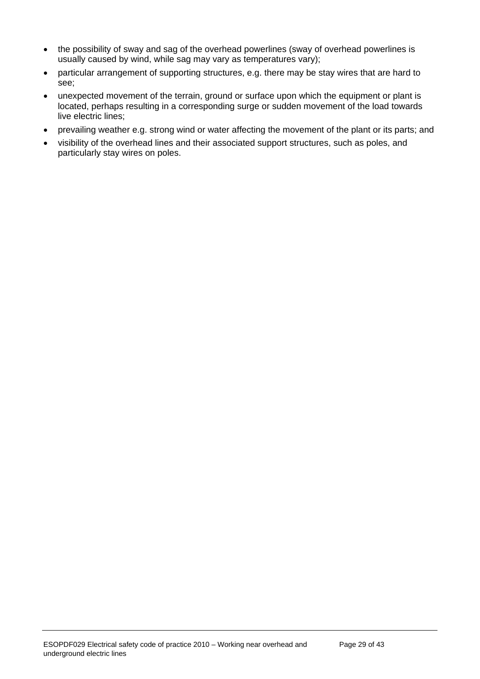- the possibility of sway and sag of the overhead powerlines (sway of overhead powerlines is usually caused by wind, while sag may vary as temperatures vary);
- particular arrangement of supporting structures, e.g. there may be stay wires that are hard to see;
- unexpected movement of the terrain, ground or surface upon which the equipment or plant is located, perhaps resulting in a corresponding surge or sudden movement of the load towards live electric lines;
- prevailing weather e.g. strong wind or water affecting the movement of the plant or its parts; and
- visibility of the overhead lines and their associated support structures, such as poles, and particularly stay wires on poles.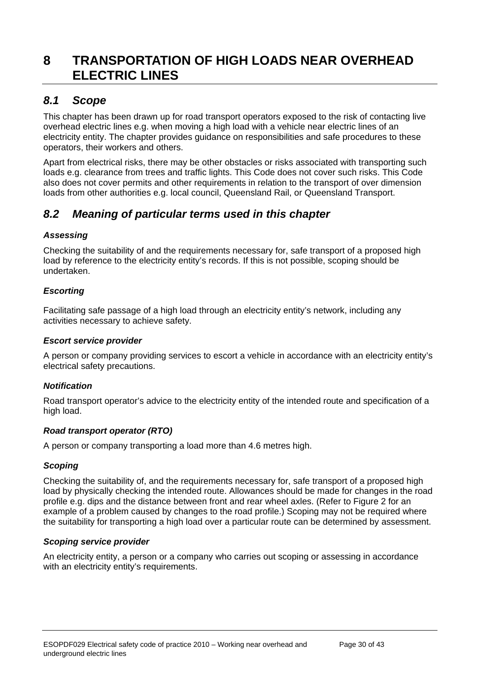# <span id="page-29-0"></span>**8 TRANSPORTATION OF HIGH LOADS NEAR OVERHEAD ELECTRIC LINES**

## <span id="page-29-1"></span>*8.1 Scope*

This chapter has been drawn up for road transport operators exposed to the risk of contacting live overhead electric lines e.g. when moving a high load with a vehicle near electric lines of an electricity entity. The chapter provides guidance on responsibilities and safe procedures to these operators, their workers and others.

Apart from electrical risks, there may be other obstacles or risks associated with transporting such loads e.g. clearance from trees and traffic lights. This Code does not cover such risks. This Code also does not cover permits and other requirements in relation to the transport of over dimension loads from other authorities e.g. local council, Queensland Rail, or Queensland Transport.

# <span id="page-29-2"></span>*8.2 Meaning of particular terms used in this chapter*

#### *Assessing*

Checking the suitability of and the requirements necessary for, safe transport of a proposed high load by reference to the electricity entity's records. If this is not possible, scoping should be undertaken.

#### *Escorting*

Facilitating safe passage of a high load through an electricity entity's network, including any activities necessary to achieve safety.

#### *Escort service provider*

A person or company providing services to escort a vehicle in accordance with an electricity entity's electrical safety precautions.

#### *Notification*

Road transport operator's advice to the electricity entity of the intended route and specification of a high load.

#### *Road transport operator (RTO)*

A person or company transporting a load more than 4.6 metres high.

#### *Scoping*

Checking the suitability of, and the requirements necessary for, safe transport of a proposed high load by physically checking the intended route. Allowances should be made for changes in the road profile e.g. dips and the distance between front and rear wheel axles. (Refer to Figure 2 for an example of a problem caused by changes to the road profile.) Scoping may not be required where the suitability for transporting a high load over a particular route can be determined by assessment.

#### *Scoping service provider*

An electricity entity, a person or a company who carries out scoping or assessing in accordance with an electricity entity's requirements.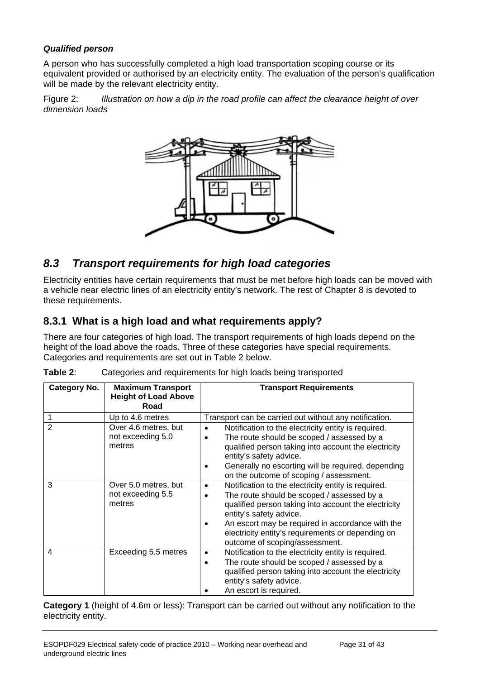#### *Qualified person*

A person who has successfully completed a high load transportation scoping course or its equivalent provided or authorised by an electricity entity. The evaluation of the person's qualification will be made by the relevant electricity entity.

Figure 2: *Illustration on how a dip in the road profile can affect the clearance height of over dimension loads*



### <span id="page-30-0"></span>*8.3 Transport requirements for high load categories*

Electricity entities have certain requirements that must be met before high loads can be moved with a vehicle near electric lines of an electricity entity's network. The rest of Chapter 8 is devoted to these requirements.

#### <span id="page-30-1"></span>**8.3.1 What is a high load and what requirements apply?**

There are four categories of high load. The transport requirements of high loads depend on the height of the load above the roads. Three of these categories have special requirements. Categories and requirements are set out in Table 2 below.

| <b>Category No.</b>     | <b>Maximum Transport</b><br><b>Height of Load Above</b><br>Road | <b>Transport Requirements</b>                                                                                                                                                                                                                                                                                                                |
|-------------------------|-----------------------------------------------------------------|----------------------------------------------------------------------------------------------------------------------------------------------------------------------------------------------------------------------------------------------------------------------------------------------------------------------------------------------|
|                         | Up to 4.6 metres                                                | Transport can be carried out without any notification.                                                                                                                                                                                                                                                                                       |
| $\overline{2}$          | Over 4.6 metres, but<br>not exceeding 5.0<br>metres             | Notification to the electricity entity is required.<br>$\bullet$<br>The route should be scoped / assessed by a<br>qualified person taking into account the electricity<br>entity's safety advice.<br>Generally no escorting will be required, depending<br>on the outcome of scoping / assessment.                                           |
| 3                       | Over 5.0 metres, but<br>not exceeding 5.5<br>metres             | Notification to the electricity entity is required.<br>$\bullet$<br>The route should be scoped / assessed by a<br>qualified person taking into account the electricity<br>entity's safety advice.<br>An escort may be required in accordance with the<br>electricity entity's requirements or depending on<br>outcome of scoping/assessment. |
| $\overline{\mathbf{4}}$ | Exceeding 5.5 metres                                            | Notification to the electricity entity is required.<br>$\bullet$<br>The route should be scoped / assessed by a<br>qualified person taking into account the electricity<br>entity's safety advice.<br>An escort is required.                                                                                                                  |

| Table 2: | Categories and requirements for high loads being transported |  |  |
|----------|--------------------------------------------------------------|--|--|
|          |                                                              |  |  |

**Category 1** (height of 4.6m or less): Transport can be carried out without any notification to the electricity entity.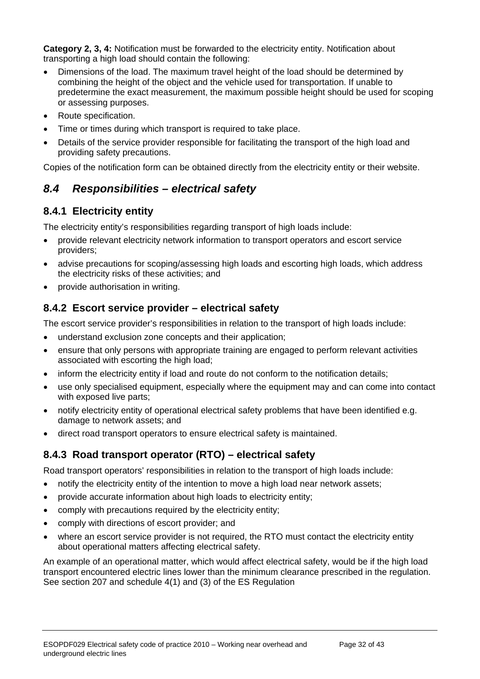**Category 2, 3, 4:** Notification must be forwarded to the electricity entity. Notification about transporting a high load should contain the following:

- Dimensions of the load. The maximum travel height of the load should be determined by combining the height of the object and the vehicle used for transportation. If unable to predetermine the exact measurement, the maximum possible height should be used for scoping or assessing purposes.
- Route specification.
- Time or times during which transport is required to take place.
- Details of the service provider responsible for facilitating the transport of the high load and providing safety precautions.

Copies of the notification form can be obtained directly from the electricity entity or their website.

### <span id="page-31-0"></span>*8.4 Responsibilities – electrical safety*

### <span id="page-31-1"></span>**8.4.1 Electricity entity**

The electricity entity's responsibilities regarding transport of high loads include:

- provide relevant electricity network information to transport operators and escort service providers;
- advise precautions for scoping/assessing high loads and escorting high loads, which address the electricity risks of these activities; and
- provide authorisation in writing.

### <span id="page-31-2"></span>**8.4.2 Escort service provider – electrical safety**

The escort service provider's responsibilities in relation to the transport of high loads include:

- understand exclusion zone concepts and their application;
- ensure that only persons with appropriate training are engaged to perform relevant activities associated with escorting the high load;
- inform the electricity entity if load and route do not conform to the notification details;
- use only specialised equipment, especially where the equipment may and can come into contact with exposed live parts;
- notify electricity entity of operational electrical safety problems that have been identified e.g. damage to network assets; and
- direct road transport operators to ensure electrical safety is maintained.

#### <span id="page-31-3"></span>**8.4.3 Road transport operator (RTO) – electrical safety**

Road transport operators' responsibilities in relation to the transport of high loads include:

- notify the electricity entity of the intention to move a high load near network assets;
- provide accurate information about high loads to electricity entity;
- comply with precautions required by the electricity entity;
- comply with directions of escort provider; and
- where an escort service provider is not required, the RTO must contact the electricity entity about operational matters affecting electrical safety.

An example of an operational matter, which would affect electrical safety, would be if the high load transport encountered electric lines lower than the minimum clearance prescribed in the regulation. See section 207 and schedule 4(1) and (3) of the ES Regulation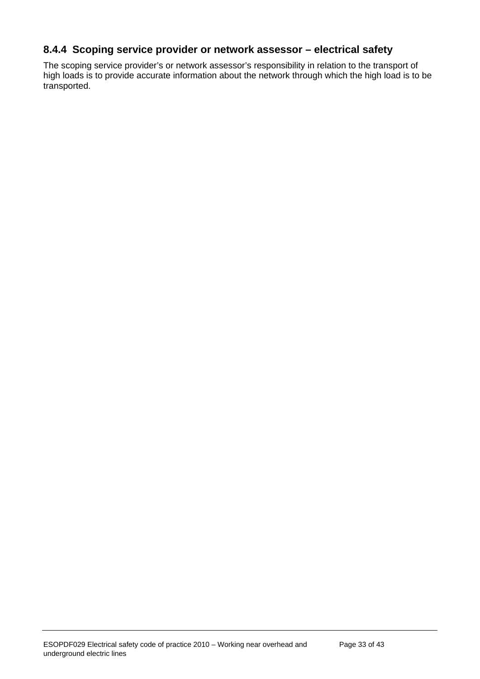### <span id="page-32-0"></span>**8.4.4 Scoping service provider or network assessor – electrical safety**

The scoping service provider's or network assessor's responsibility in relation to the transport of high loads is to provide accurate information about the network through which the high load is to be transported.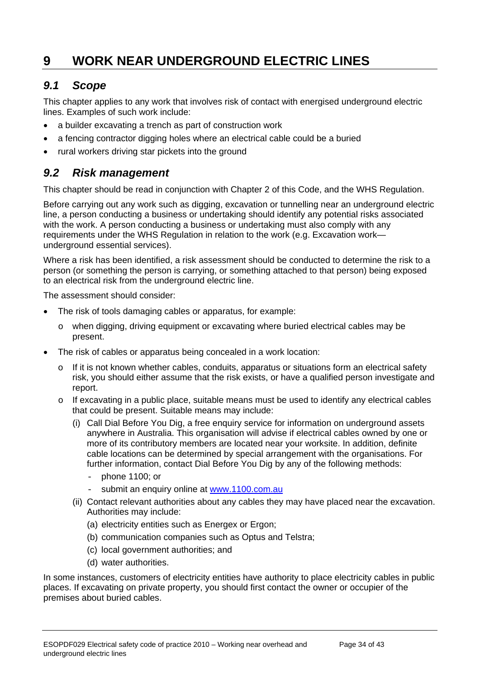# <span id="page-33-0"></span>**9 WORK NEAR UNDERGROUND ELECTRIC LINES**

### <span id="page-33-1"></span>*9.1 Scope*

This chapter applies to any work that involves risk of contact with energised underground electric lines. Examples of such work include:

- a builder excavating a trench as part of construction work
- a fencing contractor digging holes where an electrical cable could be a buried
- rural workers driving star pickets into the ground

#### <span id="page-33-2"></span>*9.2 Risk management*

This chapter should be read in conjunction with Chapter 2 of this Code, and the WHS Regulation.

Before carrying out any work such as digging, excavation or tunnelling near an underground electric line, a person conducting a business or undertaking should identify any potential risks associated with the work. A person conducting a business or undertaking must also comply with any requirements under the WHS Regulation in relation to the work (e.g. Excavation work underground essential services).

Where a risk has been identified, a risk assessment should be conducted to determine the risk to a person (or something the person is carrying, or something attached to that person) being exposed to an electrical risk from the underground electric line.

The assessment should consider:

- The risk of tools damaging cables or apparatus, for example:
	- o when digging, driving equipment or excavating where buried electrical cables may be present.
- The risk of cables or apparatus being concealed in a work location:
	- $\circ$  If it is not known whether cables, conduits, apparatus or situations form an electrical safety risk, you should either assume that the risk exists, or have a qualified person investigate and report.
	- $\circ$  If excavating in a public place, suitable means must be used to identify any electrical cables that could be present. Suitable means may include:
		- (i) Call Dial Before You Dig, a free enquiry service for information on underground assets anywhere in Australia. This organisation will advise if electrical cables owned by one or more of its contributory members are located near your worksite. In addition, definite cable locations can be determined by special arrangement with the organisations. For further information, contact Dial Before You Dig by any of the following methods:
			- phone 1100; or
			- submit an enquiry online at www.1100.com.au
		- (ii) Contact relevant authorities about any cables they may have placed near the excavation. Authorities may include:
			- (a) electricity entities such as Energex or Ergon;
			- (b) communication companies such as Optus and Telstra;
			- (c) local government authorities; and
			- (d) water authorities.

In some instances, customers of electricity entities have authority to place electricity cables in public places. If excavating on private property, you should first contact the owner or occupier of the premises about buried cables.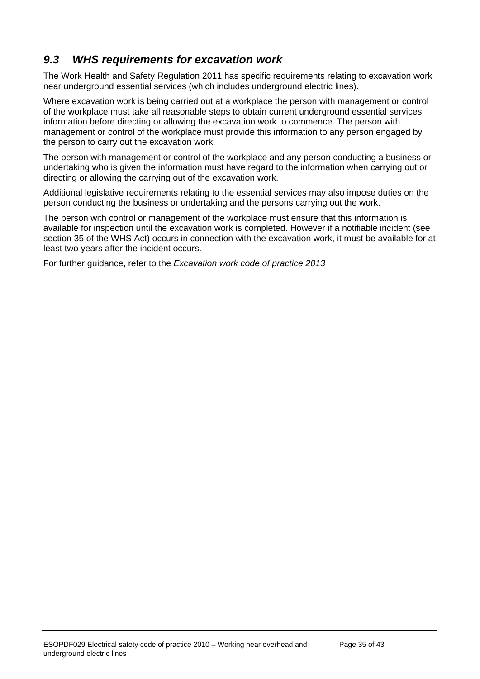# <span id="page-34-0"></span>*9.3 WHS requirements for excavation work*

The Work Health and Safety Regulation 2011 has specific requirements relating to excavation work near underground essential services (which includes underground electric lines).

Where excavation work is being carried out at a workplace the person with management or control of the workplace must take all reasonable steps to obtain current underground essential services information before directing or allowing the excavation work to commence. The person with management or control of the workplace must provide this information to any person engaged by the person to carry out the excavation work.

The person with management or control of the workplace and any person conducting a business or undertaking who is given the information must have regard to the information when carrying out or directing or allowing the carrying out of the excavation work.

Additional legislative requirements relating to the essential services may also impose duties on the person conducting the business or undertaking and the persons carrying out the work.

The person with control or management of the workplace must ensure that this information is available for inspection until the excavation work is completed. However if a notifiable incident (see section 35 of the WHS Act) occurs in connection with the excavation work, it must be available for at least two years after the incident occurs.

For further guidance, refer to the *Excavation work code of practice 2013*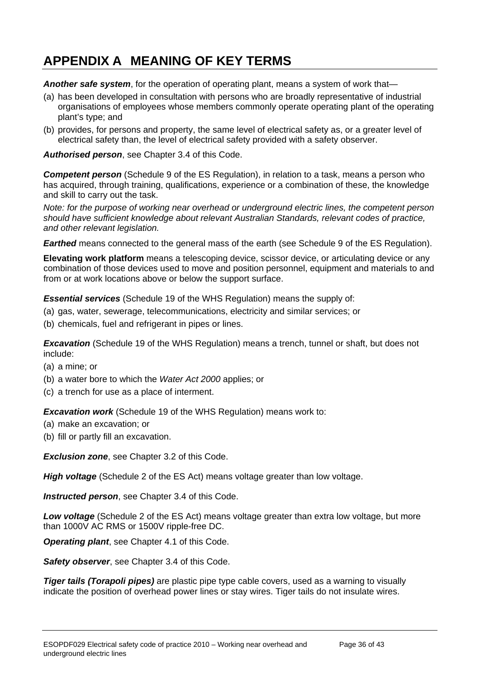# <span id="page-35-0"></span>**APPENDIX A MEANING OF KEY TERMS**

*Another safe system*, for the operation of operating plant, means a system of work that—

- (a) has been developed in consultation with persons who are broadly representative of industrial organisations of employees whose members commonly operate operating plant of the operating plant's type; and
- (b) provides, for persons and property, the same level of electrical safety as, or a greater level of electrical safety than, the level of electrical safety provided with a safety observer.

*Authorised person*, see Chapter 3.4 of this Code.

**Competent person** (Schedule 9 of the ES Regulation), in relation to a task, means a person who has acquired, through training, qualifications, experience or a combination of these, the knowledge and skill to carry out the task.

*Note: for the purpose of working near overhead or underground electric lines, the competent person should have sufficient knowledge about relevant Australian Standards, relevant codes of practice, and other relevant legislation.* 

*Earthed* means connected to the general mass of the earth (see Schedule 9 of the ES Regulation).

**Elevating work platform** means a telescoping device, scissor device, or articulating device or any combination of those devices used to move and position personnel, equipment and materials to and from or at work locations above or below the support surface.

*Essential services* (Schedule 19 of the WHS Regulation) means the supply of:

- (a) gas, water, sewerage, telecommunications, electricity and similar services; or
- (b) chemicals, fuel and refrigerant in pipes or lines.

**Excavation** (Schedule 19 of the WHS Regulation) means a trench, tunnel or shaft, but does not include:

- (a) a mine; or
- (b) a water bore to which the *Water Act 2000* applies; or
- (c) a trench for use as a place of interment.

*Excavation work* (Schedule 19 of the WHS Regulation) means work to:

- (a) make an excavation; or
- (b) fill or partly fill an excavation.

*Exclusion zone*, see Chapter 3.2 of this Code.

*High voltage* (Schedule 2 of the ES Act) means voltage greater than low voltage.

*Instructed person*, see Chapter 3.4 of this Code.

*Low voltage* (Schedule 2 of the ES Act) means voltage greater than extra low voltage, but more than 1000V AC RMS or 1500V ripple-free DC.

*Operating plant*, see Chapter 4.1 of this Code.

*Safety observer*, see Chapter 3.4 of this Code.

*Tiger tails (Torapoli pipes)* are plastic pipe type cable covers, used as a warning to visually indicate the position of overhead power lines or stay wires. Tiger tails do not insulate wires.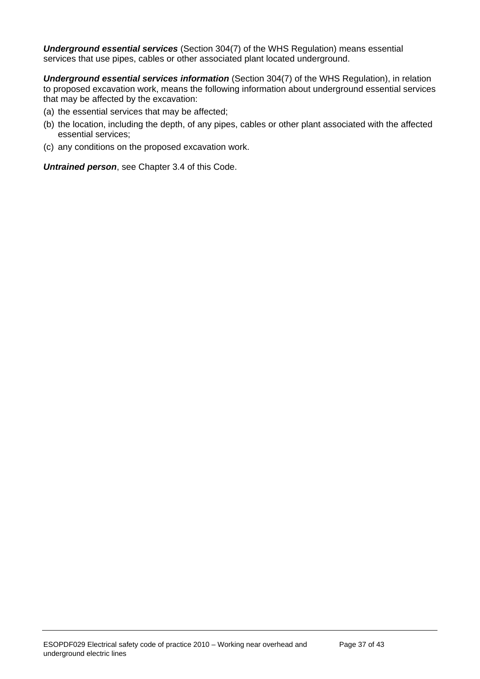*Underground essential services* (Section 304(7) of the WHS Regulation) means essential services that use pipes, cables or other associated plant located underground.

*Underground essential services information* (Section 304(7) of the WHS Regulation), in relation to proposed excavation work, means the following information about underground essential services that may be affected by the excavation:

- (a) the essential services that may be affected;
- (b) the location, including the depth, of any pipes, cables or other plant associated with the affected essential services;
- (c) any conditions on the proposed excavation work.

*Untrained person*, see Chapter 3.4 of this Code.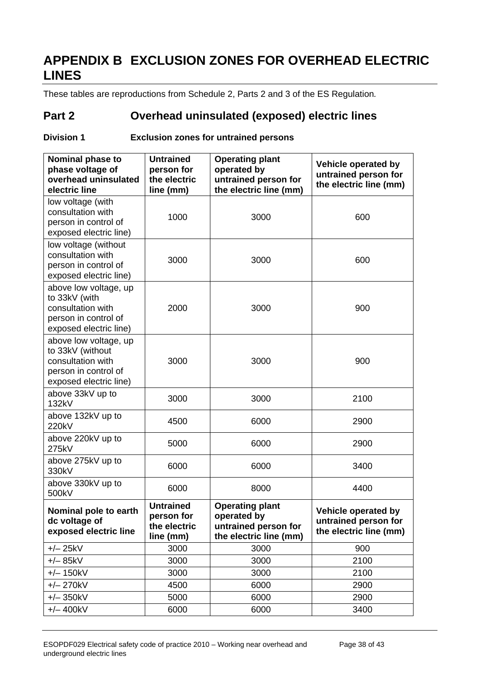# <span id="page-37-0"></span>**APPENDIX B EXCLUSION ZONES FOR OVERHEAD ELECTRIC LINES**

These tables are reproductions from Schedule 2, Parts 2 and 3 of the ES Regulation*.* 

# **Part 2 Overhead uninsulated (exposed) electric lines**

#### **Division 1 Exclusion zones for untrained persons**

| Nominal phase to<br>phase voltage of<br>overhead uninsulated<br>electric line                                    | <b>Untrained</b><br>person for<br>the electric<br>line (mm) | <b>Operating plant</b><br>operated by<br>untrained person for<br>the electric line (mm) | Vehicle operated by<br>untrained person for<br>the electric line (mm) |
|------------------------------------------------------------------------------------------------------------------|-------------------------------------------------------------|-----------------------------------------------------------------------------------------|-----------------------------------------------------------------------|
| low voltage (with<br>consultation with<br>person in control of<br>exposed electric line)                         | 1000                                                        | 3000                                                                                    | 600                                                                   |
| low voltage (without<br>consultation with<br>person in control of<br>exposed electric line)                      | 3000                                                        | 3000                                                                                    | 600                                                                   |
| above low voltage, up<br>to 33kV (with<br>consultation with<br>person in control of<br>exposed electric line)    | 2000                                                        | 3000                                                                                    | 900                                                                   |
| above low voltage, up<br>to 33kV (without<br>consultation with<br>person in control of<br>exposed electric line) | 3000                                                        | 3000                                                                                    | 900                                                                   |
| above 33kV up to<br>132kV                                                                                        | 3000                                                        | 3000                                                                                    | 2100                                                                  |
| above 132kV up to<br>220kV                                                                                       | 4500                                                        | 6000                                                                                    | 2900                                                                  |
| above 220kV up to<br>275kV                                                                                       | 5000                                                        | 6000                                                                                    | 2900                                                                  |
| above 275kV up to<br>330kV                                                                                       | 6000                                                        | 6000                                                                                    | 3400                                                                  |
| above 330kV up to<br>500kV                                                                                       | 6000                                                        | 8000                                                                                    | 4400                                                                  |
| Nominal pole to earth<br>dc voltage of<br>exposed electric line                                                  | <b>Untrained</b><br>person for<br>the electric<br>line (mm) | <b>Operating plant</b><br>operated by<br>untrained person for<br>the electric line (mm) | Vehicle operated by<br>untrained person for<br>the electric line (mm) |
| $+/- 25kV$                                                                                                       | 3000                                                        | 3000                                                                                    | 900                                                                   |
| $+/- 85kV$                                                                                                       | 3000                                                        | 3000                                                                                    | 2100                                                                  |
| $+/- 150kV$                                                                                                      | 3000                                                        | 3000                                                                                    | 2100                                                                  |
| $+/- 270kV$                                                                                                      | 4500                                                        | 6000                                                                                    | 2900                                                                  |
| $+/- 350kV$                                                                                                      | 5000                                                        | 6000                                                                                    | 2900                                                                  |
| $+/- 400kV$                                                                                                      | 6000                                                        | 6000                                                                                    | 3400                                                                  |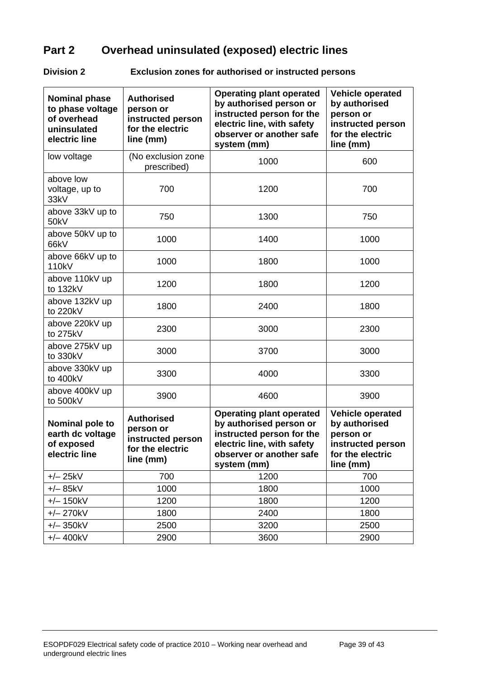# **Part 2 Overhead uninsulated (exposed) electric lines**

**Division 2 Exclusion zones for authorised or instructed persons** 

| <b>Nominal phase</b><br>to phase voltage<br>of overhead<br>uninsulated<br>electric line | <b>Authorised</b><br>person or<br>instructed person<br>for the electric<br>line (mm) | <b>Operating plant operated</b><br>by authorised person or<br>instructed person for the<br>electric line, with safety<br>observer or another safe<br>system (mm) | <b>Vehicle operated</b><br>by authorised<br>person or<br>instructed person<br>for the electric<br>line (mm) |
|-----------------------------------------------------------------------------------------|--------------------------------------------------------------------------------------|------------------------------------------------------------------------------------------------------------------------------------------------------------------|-------------------------------------------------------------------------------------------------------------|
| low voltage                                                                             | (No exclusion zone<br>prescribed)                                                    | 1000                                                                                                                                                             | 600                                                                                                         |
| above low<br>voltage, up to<br>33kV                                                     | 700                                                                                  | 1200                                                                                                                                                             | 700                                                                                                         |
| above 33kV up to<br>50kV                                                                | 750                                                                                  | 1300                                                                                                                                                             | 750                                                                                                         |
| above 50kV up to<br>66kV                                                                | 1000                                                                                 | 1400                                                                                                                                                             | 1000                                                                                                        |
| above 66kV up to<br>110 <sub>k</sub> V                                                  | 1000                                                                                 | 1800                                                                                                                                                             | 1000                                                                                                        |
| above 110kV up<br>to 132kV                                                              | 1200                                                                                 | 1800                                                                                                                                                             | 1200                                                                                                        |
| above 132kV up<br>to 220kV                                                              | 1800                                                                                 | 2400                                                                                                                                                             | 1800                                                                                                        |
| above 220kV up<br>to 275kV                                                              | 2300                                                                                 | 3000                                                                                                                                                             | 2300                                                                                                        |
| above 275kV up<br>to 330kV                                                              | 3000                                                                                 | 3700                                                                                                                                                             | 3000                                                                                                        |
| above 330kV up<br>to 400kV                                                              | 3300                                                                                 | 4000                                                                                                                                                             | 3300                                                                                                        |
| above 400kV up<br>to 500kV                                                              | 3900                                                                                 | 4600                                                                                                                                                             | 3900                                                                                                        |
| Nominal pole to<br>earth dc voltage<br>of exposed<br>electric line                      | <b>Authorised</b><br>person or<br>instructed person<br>for the electric<br>line (mm) | <b>Operating plant operated</b><br>by authorised person or<br>instructed person for the<br>electric line, with safety<br>observer or another safe<br>system (mm) | <b>Vehicle operated</b><br>by authorised<br>person or<br>instructed person<br>for the electric<br>line (mm) |
| $+/- 25kV$                                                                              | 700                                                                                  | 1200                                                                                                                                                             | 700                                                                                                         |
| $+/- 85kV$                                                                              | 1000                                                                                 | 1800                                                                                                                                                             | 1000                                                                                                        |
| $+/- 150kV$                                                                             | 1200                                                                                 | 1800                                                                                                                                                             | 1200                                                                                                        |
| $+/- 270kV$                                                                             | 1800                                                                                 | 2400                                                                                                                                                             | 1800                                                                                                        |
| $+/- 350kV$                                                                             | 2500                                                                                 | 3200                                                                                                                                                             | 2500                                                                                                        |
| $+/- 400kV$                                                                             | 2900                                                                                 | 3600                                                                                                                                                             | 2900                                                                                                        |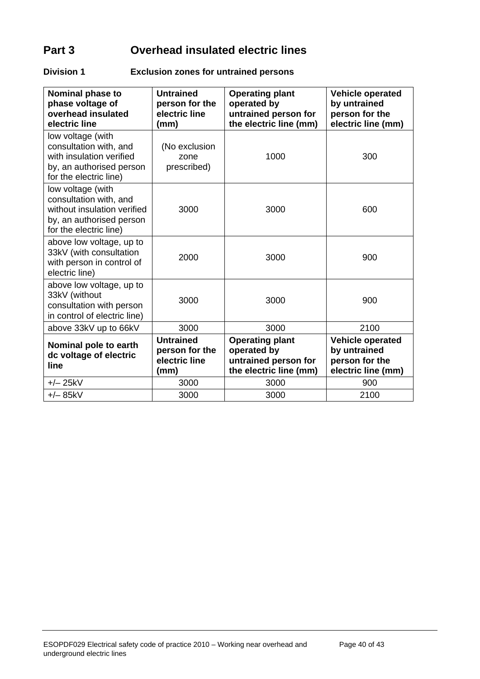# **Part 3 Overhead insulated electric lines**

#### **Division 1 Exclusion zones for untrained persons**

| Nominal phase to<br>phase voltage of<br>overhead insulated<br>electric line                                                      | <b>Untrained</b><br>person for the<br>electric line<br>(mm) | <b>Operating plant</b><br>operated by<br>untrained person for<br>the electric line (mm) | <b>Vehicle operated</b><br>by untrained<br>person for the<br>electric line (mm) |
|----------------------------------------------------------------------------------------------------------------------------------|-------------------------------------------------------------|-----------------------------------------------------------------------------------------|---------------------------------------------------------------------------------|
| low voltage (with<br>consultation with, and<br>with insulation verified<br>by, an authorised person<br>for the electric line)    | (No exclusion<br>zone<br>prescribed)                        | 1000                                                                                    | 300                                                                             |
| low voltage (with<br>consultation with, and<br>without insulation verified<br>by, an authorised person<br>for the electric line) | 3000                                                        | 3000                                                                                    | 600                                                                             |
| above low voltage, up to<br>33kV (with consultation<br>with person in control of<br>electric line)                               | 2000                                                        | 3000                                                                                    | 900                                                                             |
| above low voltage, up to<br>33kV (without<br>consultation with person<br>in control of electric line)                            | 3000                                                        | 3000                                                                                    | 900                                                                             |
| above 33kV up to 66kV                                                                                                            | 3000                                                        | 3000                                                                                    | 2100                                                                            |
| Nominal pole to earth<br>dc voltage of electric<br>line                                                                          | <b>Untrained</b><br>person for the<br>electric line<br>(mm) | <b>Operating plant</b><br>operated by<br>untrained person for<br>the electric line (mm) | <b>Vehicle operated</b><br>by untrained<br>person for the<br>electric line (mm) |
| $+/- 25kV$                                                                                                                       | 3000                                                        | 3000                                                                                    | 900                                                                             |
| $+/- 85kV$                                                                                                                       | 3000                                                        | 3000                                                                                    | 2100                                                                            |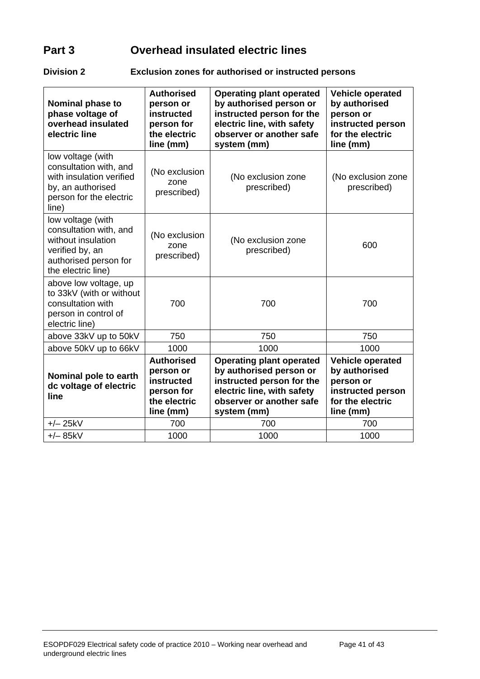# **Part 3 Overhead insulated electric lines**

#### **Division 2 Exclusion zones for authorised or instructed persons**

| <b>Nominal phase to</b><br>phase voltage of<br>overhead insulated<br>electric line                                                  | <b>Authorised</b><br>person or<br><b>instructed</b><br>person for<br>the electric<br>line (mm) | <b>Operating plant operated</b><br>by authorised person or<br>instructed person for the<br>electric line, with safety<br>observer or another safe<br>system (mm) | <b>Vehicle operated</b><br>by authorised<br>person or<br>instructed person<br>for the electric<br>line (mm) |
|-------------------------------------------------------------------------------------------------------------------------------------|------------------------------------------------------------------------------------------------|------------------------------------------------------------------------------------------------------------------------------------------------------------------|-------------------------------------------------------------------------------------------------------------|
| low voltage (with<br>consultation with, and<br>with insulation verified<br>by, an authorised<br>person for the electric<br>line)    | (No exclusion<br>zone<br>prescribed)                                                           | (No exclusion zone<br>prescribed)                                                                                                                                | (No exclusion zone<br>prescribed)                                                                           |
| low voltage (with<br>consultation with, and<br>without insulation<br>verified by, an<br>authorised person for<br>the electric line) | (No exclusion<br>zone<br>prescribed)                                                           | (No exclusion zone<br>prescribed)                                                                                                                                | 600                                                                                                         |
| above low voltage, up<br>to 33kV (with or without<br>consultation with<br>person in control of<br>electric line)                    | 700                                                                                            | 700                                                                                                                                                              | 700                                                                                                         |
| above 33kV up to 50kV                                                                                                               | 750                                                                                            | 750                                                                                                                                                              | 750                                                                                                         |
| above 50kV up to 66kV                                                                                                               | 1000                                                                                           | 1000                                                                                                                                                             | 1000                                                                                                        |
| Nominal pole to earth<br>dc voltage of electric<br>line                                                                             | <b>Authorised</b><br>person or<br>instructed<br>person for<br>the electric<br>line (mm)        | <b>Operating plant operated</b><br>by authorised person or<br>instructed person for the<br>electric line, with safety<br>observer or another safe<br>system (mm) | <b>Vehicle operated</b><br>by authorised<br>person or<br>instructed person<br>for the electric<br>line (mm) |
| $+/- 25kV$                                                                                                                          | 700                                                                                            | 700                                                                                                                                                              | 700                                                                                                         |
| $+/- 85kV$                                                                                                                          | 1000                                                                                           | 1000                                                                                                                                                             | 1000                                                                                                        |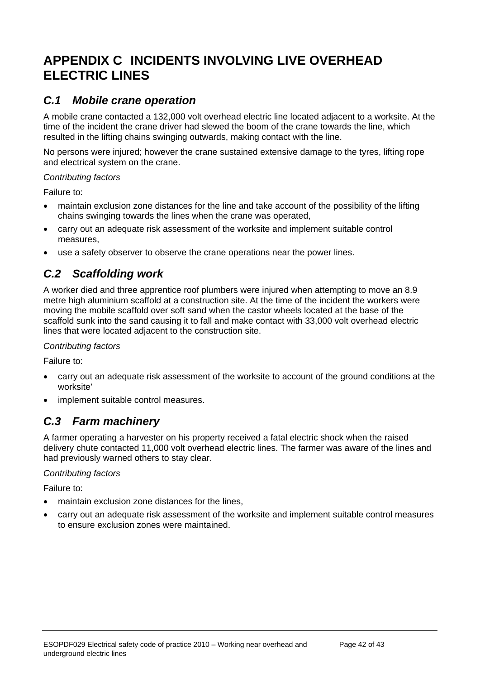# <span id="page-41-0"></span>**APPENDIX C INCIDENTS INVOLVING LIVE OVERHEAD ELECTRIC LINES**

### <span id="page-41-1"></span>*C.1 Mobile crane operation*

A mobile crane contacted a 132,000 volt overhead electric line located adjacent to a worksite. At the time of the incident the crane driver had slewed the boom of the crane towards the line, which resulted in the lifting chains swinging outwards, making contact with the line.

No persons were injured; however the crane sustained extensive damage to the tyres, lifting rope and electrical system on the crane.

#### *Contributing factors*

Failure to:

- maintain exclusion zone distances for the line and take account of the possibility of the lifting chains swinging towards the lines when the crane was operated,
- carry out an adequate risk assessment of the worksite and implement suitable control measures,
- use a safety observer to observe the crane operations near the power lines.

# <span id="page-41-2"></span>*C.2 Scaffolding work*

A worker died and three apprentice roof plumbers were injured when attempting to move an 8.9 metre high aluminium scaffold at a construction site. At the time of the incident the workers were moving the mobile scaffold over soft sand when the castor wheels located at the base of the scaffold sunk into the sand causing it to fall and make contact with 33,000 volt overhead electric lines that were located adjacent to the construction site.

#### *Contributing factors*

Failure to:

- carry out an adequate risk assessment of the worksite to account of the ground conditions at the worksite'
- implement suitable control measures.

### <span id="page-41-3"></span>*C.3 Farm machinery*

A farmer operating a harvester on his property received a fatal electric shock when the raised delivery chute contacted 11,000 volt overhead electric lines. The farmer was aware of the lines and had previously warned others to stay clear.

#### *Contributing factors*

Failure to:

- maintain exclusion zone distances for the lines,
- carry out an adequate risk assessment of the worksite and implement suitable control measures to ensure exclusion zones were maintained.